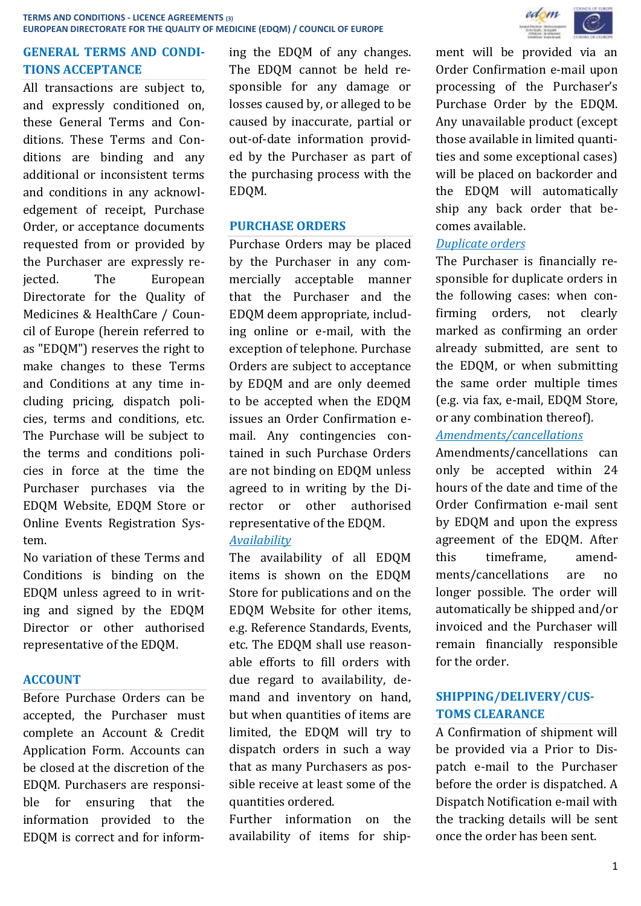# **GENERAL TERMS AND CONDI-TIONS ACCEPTANCE**

All transactions are subject to, and expressly conditioned on, these General Terms and Conditions. These Terms and Conditions are binding and any additional or inconsistent terms and conditions in any acknowledgement of receipt, Purchase Order, or acceptance documents requested from or provided by the Purchaser are expressly rejected. The European Directorate for the Quality of Medicines & HealthCare / Council of Europe (herein referred to as "EDQM") reserves the right to make changes to these Terms and Conditions at any time including pricing, dispatch policies, terms and conditions, etc. The Purchase will be subject to the terms and conditions policies in force at the time the Purchaser purchases via the EDQM Website, EDQM Store or Online Events Registration System.

No variation of these Terms and Conditions is binding on the EDQM unless agreed to in writing and signed by the EDQM Director or other authorised representative of the EDQM.

#### **ACCOUNT**

Before Purchase Orders can be accepted, the Purchaser must complete an Account & Credit Application Form. Accounts can be closed at the discretion of the EDQM. Purchasers are responsible for ensuring that the information provided to the EDQM is correct and for informing the EDQM of any changes. The EDQM cannot be held responsible for any damage or losses caused by, or alleged to be caused by inaccurate, partial or out-of-date information provided by the Purchaser as part of the purchasing process with the EDQM.

#### **PURCHASE ORDERS**

Purchase Orders may be placed by the Purchaser in any commercially acceptable manner that the Purchaser and the EDQM deem appropriate, including online or e-mail, with the exception of telephone. Purchase Orders are subject to acceptance by EDQM and are only deemed to be accepted when the EDQM issues an Order Confirmation email. Any contingencies contained in such Purchase Orders are not binding on EDQM unless agreed to in writing by the Director or other authorised representative of the EDQM. *Availability*

The availability of all EDQM items is shown on the EDQM Store for publications and on the EDQM Website for other items, e.g. Reference Standards, Events, etc. The EDQM shall use reasonable efforts to fill orders with due regard to availability, demand and inventory on hand, but when quantities of items are limited, the EDQM will try to dispatch orders in such a way that as many Purchasers as possible receive at least some of the quantities ordered.

Further information on the availability of items for ship-



ment will be provided via an Order Confirmation e-mail upon processing of the Purchaser's Purchase Order by the EDQM. Any unavailable product (except those available in limited quantities and some exceptional cases) will be placed on backorder and the EDQM will automatically ship any back order that becomes available.

# *Duplicate orders*

The Purchaser is financially responsible for duplicate orders in the following cases: when confirming orders, not clearly marked as confirming an order already submitted, are sent to the EDQM, or when submitting the same order multiple times (e.g. via fax, e-mail, EDQM Store, or any combination thereof).

#### *Amendments/cancellations*

Amendments/cancellations can only be accepted within 24 hours of the date and time of the Order Confirmation e-mail sent by EDQM and upon the express agreement of the EDQM. After this timeframe, amendments/cancellations are no longer possible. The order will automatically be shipped and/or invoiced and the Purchaser will remain financially responsible for the order.

# **SHIPPING/DELIVERY/CUS-TOMS CLEARANCE**

A Confirmation of shipment will be provided via a Prior to Dispatch e-mail to the Purchaser before the order is dispatched. A Dispatch Notification e-mail with the tracking details will be sent once the order has been sent.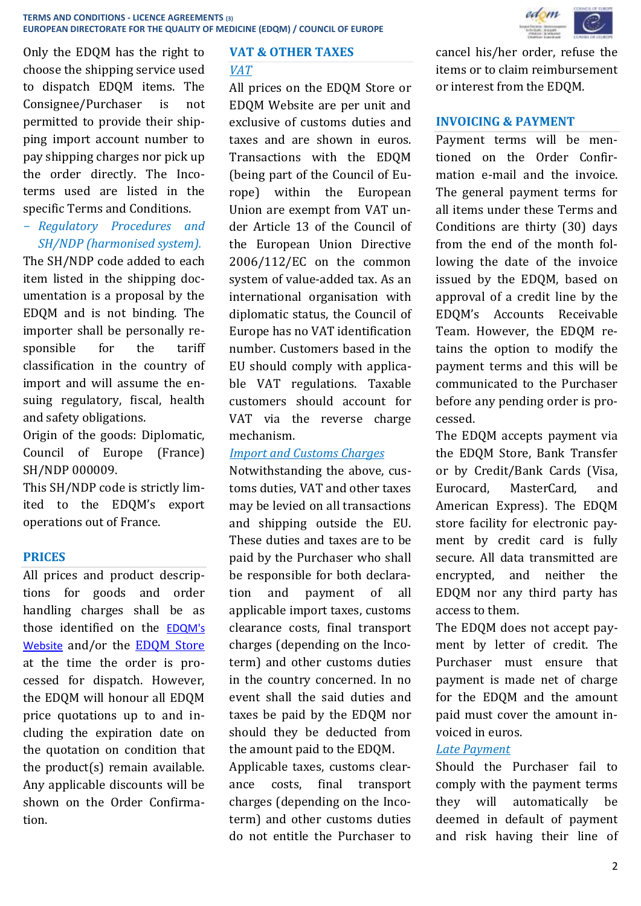Only the EDQM has the right to choose the shipping service used to dispatch EDQM items. The Consignee/Purchaser is not permitted to provide their shipping import account number to pay shipping charges nor pick up the order directly. The Incoterms used are listed in the specific Terms and Conditions.

- *Regulatory Procedures and SH/NDP (harmonised system).*

The SH/NDP code added to each item listed in the shipping documentation is a proposal by the EDQM and is not binding. The importer shall be personally responsible for the tariff classification in the country of import and will assume the ensuing regulatory, fiscal, health and safety obligations.

Origin of the goods: Diplomatic, Council of Europe (France) SH/NDP 000009.

This SH/NDP code is strictly limited to the EDQM's export operations out of France.

### **PRICES**

All prices and product descriptions for goods and order handling charges shall be as those identified on the [EDQM's](http://www.edqm.eu/)  [Website](http://www.edqm.eu/) and/or the [EDQM Store](https://store.edqm.eu/index.html) at the time the order is processed for dispatch. However, the EDQM will honour all EDQM price quotations up to and including the expiration date on the quotation on condition that the product(s) remain available. Any applicable discounts will be shown on the Order Confirmation.

#### **VAT & OTHER TAXES**

#### *VAT*

All prices on the EDQM Store or EDQM Website are per unit and exclusive of customs duties and taxes and are shown in euros. Transactions with the EDQM (being part of the Council of Europe) within the European Union are exempt from VAT under Article 13 of the Council of the European Union Directive 2006/112/EC on the common system of value-added tax. As an international organisation with diplomatic status, the Council of Europe has no VAT identification number. Customers based in the EU should comply with applicable VAT regulations. Taxable customers should account for VAT via the reverse charge mechanism.

#### *Import and Customs Charges*

Notwithstanding the above, customs duties, VAT and other taxes may be levied on all transactions and shipping outside the EU. These duties and taxes are to be paid by the Purchaser who shall be responsible for both declaration and payment of all applicable import taxes, customs clearance costs, final transport charges (depending on the Incoterm) and other customs duties in the country concerned. In no event shall the said duties and taxes be paid by the EDQM nor should they be deducted from the amount paid to the EDQM.

Applicable taxes, customs clearance costs, final transport charges (depending on the Incoterm) and other customs duties do not entitle the Purchaser to



cancel his/her order, refuse the items or to claim reimbursement or interest from the EDQM.

#### **INVOICING & PAYMENT**

Payment terms will be mentioned on the Order Confirmation e-mail and the invoice. The general payment terms for all items under these Terms and Conditions are thirty (30) days from the end of the month following the date of the invoice issued by the EDQM, based on approval of a credit line by the EDQM's Accounts Receivable Team. However, the EDQM retains the option to modify the payment terms and this will be communicated to the Purchaser before any pending order is processed.

The EDQM accepts payment via the EDQM Store, Bank Transfer or by Credit/Bank Cards (Visa, Eurocard, MasterCard, and American Express). The EDQM store facility for electronic payment by credit card is fully secure. All data transmitted are encrypted, and neither the EDQM nor any third party has access to them.

The EDQM does not accept payment by letter of credit. The Purchaser must ensure that payment is made net of charge for the EDQM and the amount paid must cover the amount invoiced in euros.

#### *Late Payment*

Should the Purchaser fail to comply with the payment terms they will automatically be deemed in default of payment and risk having their line of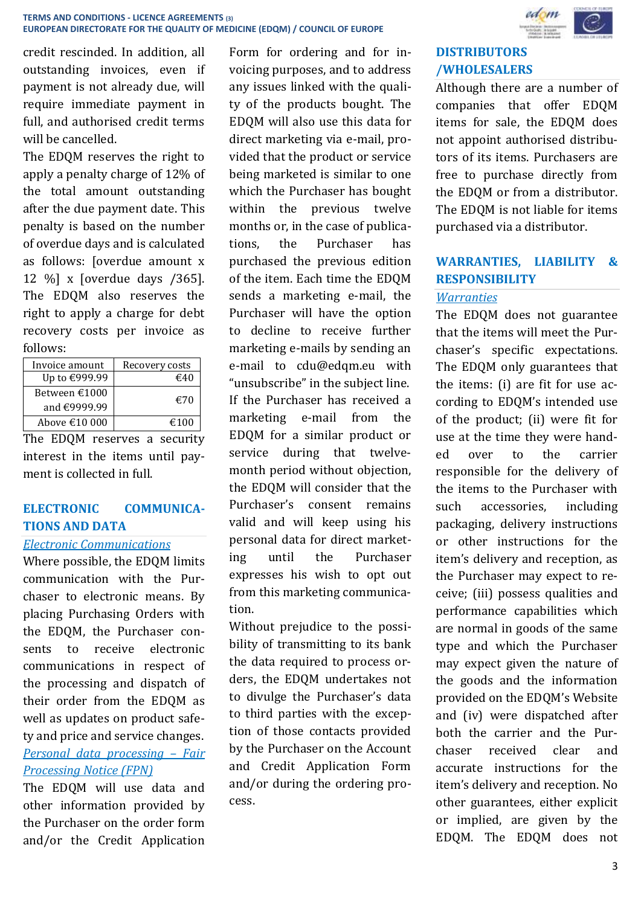credit rescinded. In addition, all outstanding invoices, even if payment is not already due, will require immediate payment in full, and authorised credit terms will be cancelled.

The EDQM reserves the right to apply a penalty charge of 12% of the total amount outstanding after the due payment date. This penalty is based on the number of overdue days and is calculated as follows: [overdue amount x 12 %] x [overdue days /365]. The EDQM also reserves the right to apply a charge for debt recovery costs per invoice as follows:

| Invoice amount         | Recovery costs |
|------------------------|----------------|
| Up to €999.99          | $\epsilon$ 40  |
| Between $€1000$        | €70            |
| and $\epsilon$ 9999.99 |                |
| Above $€10000$         | €100           |

The EDQM reserves a security interest in the items until payment is collected in full.

# **ELECTRONIC COMMUNICA-TIONS AND DATA**

### *Electronic Communications*

Where possible, the EDQM limits communication with the Purchaser to electronic means. By placing Purchasing Orders with the EDQM, the Purchaser consents to receive electronic communications in respect of the processing and dispatch of their order from the EDQM as well as updates on product safety and price and service changes. *Personal data processing – Fair Processing Notice (FPN)* 

The EDQM will use data and other information provided by the Purchaser on the order form and/or the Credit Application

Form for ordering and for invoicing purposes, and to address any issues linked with the quality of the products bought. The EDQM will also use this data for direct marketing via e-mail, provided that the product or service being marketed is similar to one which the Purchaser has bought within the previous twelve months or, in the case of publications, the Purchaser has purchased the previous edition of the item. Each time the EDQM sends a marketing e-mail, the Purchaser will have the option to decline to receive further marketing e-mails by sending an e-mail to [cdu@edqm.eu](mailto:data@edqm.eu) with "unsubscribe" in the subject line. If the Purchaser has received a marketing e-mail from the EDQM for a similar product or service during that twelvemonth period without objection, the EDQM will consider that the Purchaser's consent remains valid and will keep using his personal data for direct marketing until the Purchaser expresses his wish to opt out from this marketing communication.

Without prejudice to the possibility of transmitting to its bank the data required to process orders, the EDQM undertakes not to divulge the Purchaser's data to third parties with the exception of those contacts provided by the Purchaser on the Account and Credit Application Form and/or during the ordering process.



# **DISTRIBUTORS /WHOLESALERS**

Although there are a number of companies that offer EDQM items for sale, the EDQM does not appoint authorised distributors of its items. Purchasers are free to purchase directly from the EDQM or from a distributor. The EDQM is not liable for items purchased via a distributor.

# **WARRANTIES, LIABILITY & RESPONSIBILITY**

# *Warranties*

The EDQM does not guarantee that the items will meet the Purchaser's specific expectations. The EDQM only guarantees that the items: (i) are fit for use according to EDQM's intended use of the product; (ii) were fit for use at the time they were handed over to the carrier responsible for the delivery of the items to the Purchaser with such accessories, including packaging, delivery instructions or other instructions for the item's delivery and reception, as the Purchaser may expect to receive; (iii) possess qualities and performance capabilities which are normal in goods of the same type and which the Purchaser may expect given the nature of the goods and the information provided on the EDQM's Website and (iv) were dispatched after both the carrier and the Purchaser received clear and accurate instructions for the item's delivery and reception. No other guarantees, either explicit or implied, are given by the EDQM. The EDQM does not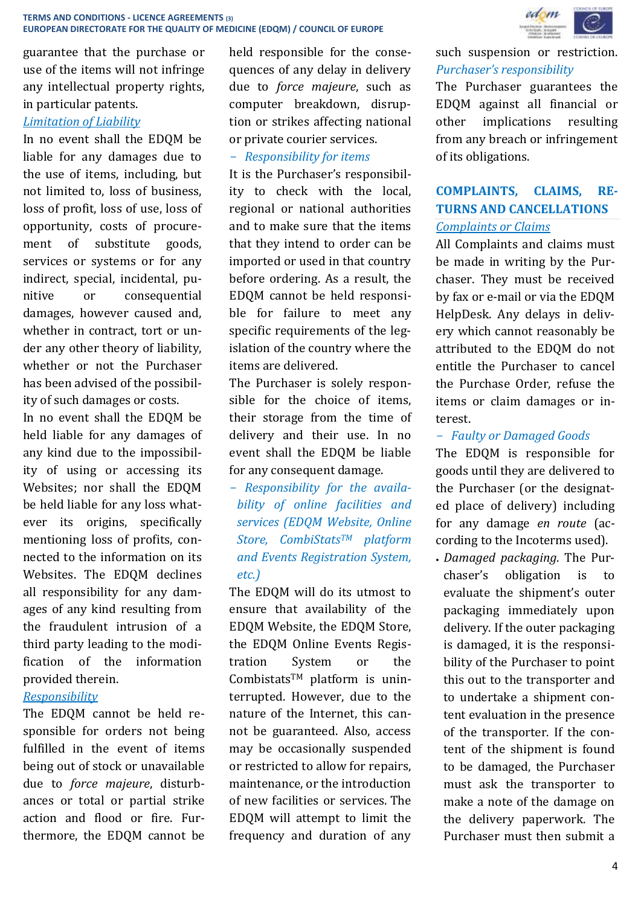guarantee that the purchase or use of the items will not infringe any intellectual property rights, in particular patents.

#### *Limitation of Liability*

In no event shall the EDQM be liable for any damages due to the use of items, including, but not limited to, loss of business, loss of profit, loss of use, loss of opportunity, costs of procurement of substitute goods, services or systems or for any indirect, special, incidental, punitive or consequential damages, however caused and, whether in contract, tort or under any other theory of liability, whether or not the Purchaser has been advised of the possibility of such damages or costs.

In no event shall the EDQM be held liable for any damages of any kind due to the impossibility of using or accessing its Websites; nor shall the EDQM be held liable for any loss whatever its origins, specifically mentioning loss of profits, connected to the information on its Websites. The EDQM declines all responsibility for any damages of any kind resulting from the fraudulent intrusion of a third party leading to the modification of the information provided therein.

# *Responsibility*

The EDQM cannot be held responsible for orders not being fulfilled in the event of items being out of stock or unavailable due to *force majeure*, disturbances or total or partial strike action and flood or fire. Furthermore, the EDQM cannot be held responsible for the consequences of any delay in delivery due to *force majeure*, such as computer breakdown, disruption or strikes affecting national or private courier services.

# - *Responsibility for items*

It is the Purchaser's responsibility to check with the local, regional or national authorities and to make sure that the items that they intend to order can be imported or used in that country before ordering. As a result, the EDQM cannot be held responsible for failure to meet any specific requirements of the legislation of the country where the items are delivered.

The Purchaser is solely responsible for the choice of items, their storage from the time of delivery and their use. In no event shall the EDQM be liable for any consequent damage.

- *Responsibility for the availability of online facilities and services (EDQM Website, Online Store, CombiStatsTM platform and Events Registration System, etc.)*

The EDQM will do its utmost to ensure that availability of the EDQM Website, the EDQM Store, the EDQM Online Events Registration System or the CombistatsTM platform is uninterrupted. However, due to the nature of the Internet, this cannot be guaranteed. Also, access may be occasionally suspended or restricted to allow for repairs, maintenance, or the introduction of new facilities or services. The EDQM will attempt to limit the frequency and duration of any



# such suspension or restriction. *Purchaser's responsibility*

The Purchaser guarantees the EDQM against all financial or other implications resulting from any breach or infringement of its obligations.

# **COMPLAINTS, CLAIMS, RE-TURNS AND CANCELLATIONS**

*Complaints or Claims*

All Complaints and claims must be made in writing by the Purchaser. They must be received by fax or e-mail or via the EDQM HelpDesk. Any delays in delivery which cannot reasonably be attributed to the EDQM do not entitle the Purchaser to cancel the Purchase Order, refuse the items or claim damages or interest.

# - *Faulty or Damaged Goods*

The EDQM is responsible for goods until they are delivered to the Purchaser (or the designated place of delivery) including for any damage *en route* (according to the Incoterms used).

 *Damaged packaging*. The Purchaser's obligation is to evaluate the shipment's outer packaging immediately upon delivery. If the outer packaging is damaged, it is the responsibility of the Purchaser to point this out to the transporter and to undertake a shipment content evaluation in the presence of the transporter. If the content of the shipment is found to be damaged, the Purchaser must ask the transporter to make a note of the damage on the delivery paperwork. The Purchaser must then submit a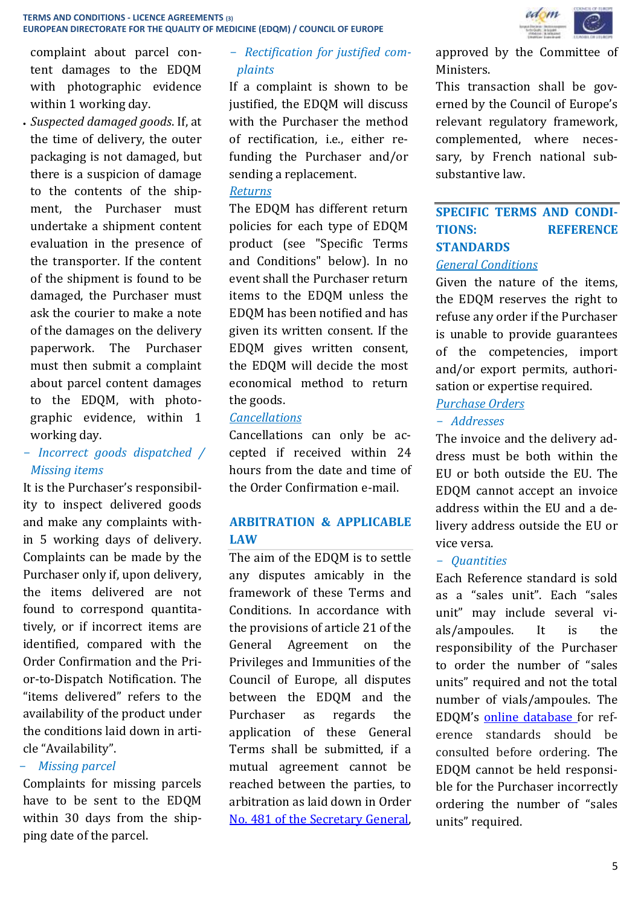complaint about parcel content damages to the EDQM with photographic evidence within 1 working day.

 *Suspected damaged goods*. If, at the time of delivery, the outer packaging is not damaged, but there is a suspicion of damage to the contents of the shipment, the Purchaser must undertake a shipment content evaluation in the presence of the transporter. If the content of the shipment is found to be damaged, the Purchaser must ask the courier to make a note of the damages on the delivery paperwork. The Purchaser must then submit a complaint about parcel content damages to the EDQM, with photographic evidence, within 1 working day.

# - *Incorrect goods dispatched / Missing items*

It is the Purchaser's responsibility to inspect delivered goods and make any complaints within 5 working days of delivery. Complaints can be made by the Purchaser only if, upon delivery, the items delivered are not found to correspond quantitatively, or if incorrect items are identified, compared with the Order Confirmation and the Prior-to-Dispatch Notification. The "items delivered" refers to the availability of the product under the conditions laid down in article "Availability".

# - *Missing parcel*

Complaints for missing parcels have to be sent to the EDQM within 30 days from the shipping date of the parcel.

# - *Rectification for justified complaints*

If a complaint is shown to be justified, the EDQM will discuss with the Purchaser the method of rectification, i.e., either refunding the Purchaser and/or sending a replacement.

### *Returns*

The EDQM has different return policies for each type of EDQM product (see "Specific Terms and Conditions" below). In no event shall the Purchaser return items to the EDQM unless the EDQM has been notified and has given its written consent. If the EDQM gives written consent, the EDQM will decide the most economical method to return the goods.

# *Cancellations*

Cancellations can only be accepted if received within 24 hours from the date and time of the Order Confirmation e-mail.

# **ARBITRATION & APPLICABLE LAW**

The aim of the EDQM is to settle any disputes amicably in the framework of these Terms and Conditions. In accordance with the provisions of article 21 of the General Agreement on the Privileges and Immunities of the Council of Europe, all disputes between the EDQM and the Purchaser as regards the application of these General Terms shall be submitted, if a mutual agreement cannot be reached between the parties, to arbitration as laid down in Order [No. 481 of the Secretary General,](https://wcd.coe.int/ViewDoc.jsp?p=&id=1128483&Site=DGAL-CD&direct=true)



approved by the Committee of Ministers.

This transaction shall be governed by the Council of Europe's relevant regulatory framework, complemented, where necessary, by French national subsubstantive law.

# **SPECIFIC TERMS AND CONDI-TIONS: REFERENCE STANDARDS**

### *General Conditions*

Given the nature of the items, the EDQM reserves the right to refuse any order if the Purchaser is unable to provide guarantees of the competencies, import and/or export permits, authorisation or expertise required.

# *Purchase Orders*

# - *Addresses*

The invoice and the delivery address must be both within the EU or both outside the EU. The EDQM cannot accept an invoice address within the EU and a delivery address outside the EU or vice versa.

### - *Quantities*

Each Reference standard is sold as a "sales unit". Each "sales unit" may include several vials/ampoules. It is the responsibility of the Purchaser to order the number of "sales units" required and not the total number of vials/ampoules. The EDQM's [online database f](http://crs.edqm.eu/)or reference standards should be consulted before ordering. The EDQM cannot be held responsible for the Purchaser incorrectly ordering the number of "sales units" required.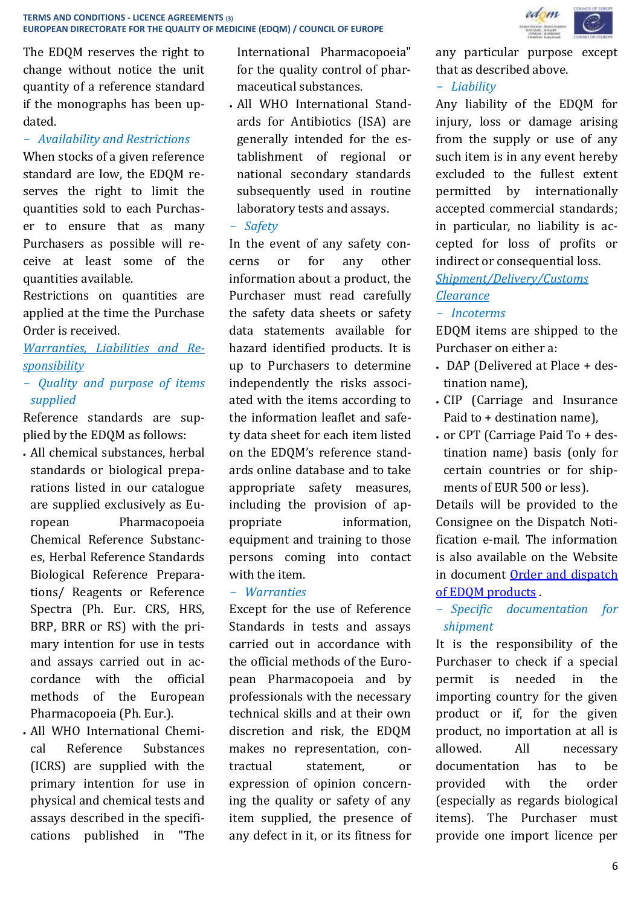The EDQM reserves the right to change without notice the unit quantity of a reference standard if the monographs has been updated.

# - *Availability and Restrictions*

When stocks of a given reference standard are low, the EDQM reserves the right to limit the quantities sold to each Purchaser to ensure that as many Purchasers as possible will receive at least some of the quantities available.

Restrictions on quantities are applied at the time the Purchase Order is received.

*Warranties, Liabilities and Responsibility*

# - *Quality and purpose of items supplied*

Reference standards are supplied by the EDQM as follows:

- All chemical substances, herbal standards or biological preparations listed in our catalogue are supplied exclusively as European Pharmacopoeia Chemical Reference Substances, Herbal Reference Standards Biological Reference Preparations/ Reagents or Reference Spectra (Ph. Eur. CRS, HRS, BRP, BRR or RS) with the primary intention for use in tests and assays carried out in accordance with the official methods of the European Pharmacopoeia (Ph. Eur.).
- All WHO International Chemical Reference Substances (ICRS) are supplied with the primary intention for use in physical and chemical tests and assays described in the specifications published in "The

International Pharmacopoeia" for the quality control of pharmaceutical substances.

- All WHO International Standards for Antibiotics (ISA) are generally intended for the establishment of regional or national secondary standards subsequently used in routine laboratory tests and assays.
- *Safety*

In the event of any safety concerns or for any other information about a product, the Purchaser must read carefully the safety data sheets or safety data statements available for hazard identified products. It is up to Purchasers to determine independently the risks associated with the items according to the information leaflet and safety data sheet for each item listed on the EDQM's reference standards [online database](http://crs.edqm.eu/) and to take appropriate safety measures, including the provision of appropriate information, equipment and training to those persons coming into contact with the item

### - *Warranties*

Except for the use of Reference Standards in tests and assays carried out in accordance with the official methods of the European Pharmacopoeia and by professionals with the necessary technical skills and at their own discretion and risk, the EDQM makes no representation, contractual statement, or expression of opinion concerning the quality or safety of any item supplied, the presence of any defect in it, or its fitness for



any particular purpose except that as described above.

# - *Liability*

Any liability of the EDQM for injury, loss or damage arising from the supply or use of any such item is in any event hereby excluded to the fullest extent permitted by internationally accepted commercial standards; in particular, no liability is accepted for loss of profits or indirect or consequential loss. *Shipment/Delivery/Customs* 

# *Clearance*

#### - *Incoterms*

EDQM items are shipped to the Purchaser on either a:

- DAP (Delivered at Place + destination name),
- CIP (Carriage and Insurance Paid to + destination name),
- or CPT (Carriage Paid To + destination name) basis (only for certain countries or for shipments of EUR 500 or less).

Details will be provided to the Consignee on the Dispatch Notification e-mail. The information is also available on the Website in document [Order and dispatch](https://www.edqm.eu/en/ph-eur-reference-standards-orders-catalogue)  [of EDQM products](https://www.edqm.eu/en/ph-eur-reference-standards-orders-catalogue) .

- *Specific documentation for shipment*

It is the responsibility of the Purchaser to check if a special permit is needed in the importing country for the given product or if, for the given product, no importation at all is allowed. All necessary documentation has to be provided with the order (especially as regards biological items). The Purchaser must provide one import licence per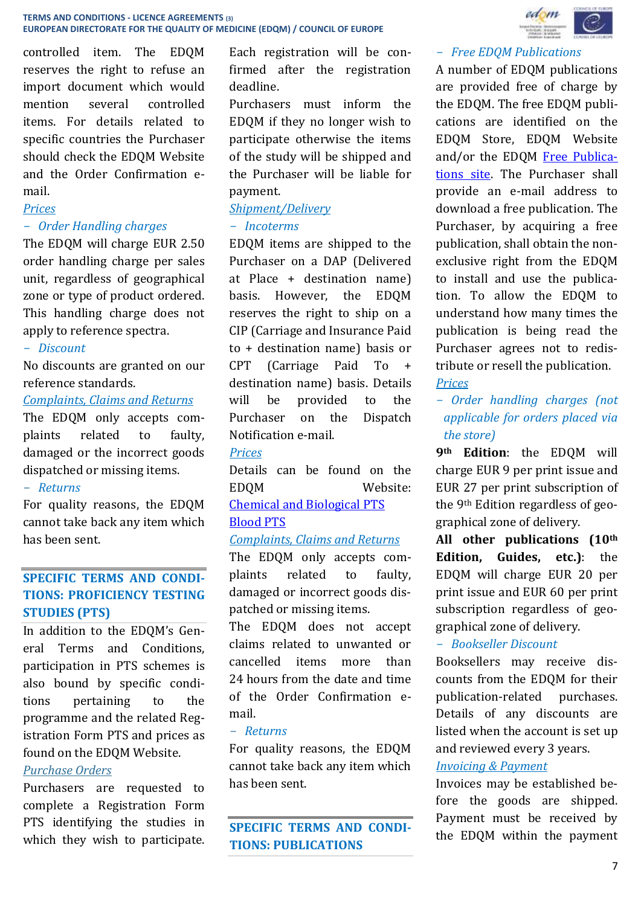controlled item. The EDQM reserves the right to refuse an import document which would mention several controlled items. For details related to specific countries the Purchaser should check the EDQM Website and the Order Confirmation email.

#### *Prices*

#### - *Order Handling charges*

The EDQM will charge EUR 2.50 order handling charge per sales unit, regardless of geographical zone or type of product ordered. This handling charge does not apply to reference spectra.

#### - *Discount*

No discounts are granted on our reference standards.

#### *Complaints, Claims and Returns*

The EDQM only accepts complaints related to faulty, damaged or the incorrect goods dispatched or missing items.

### - *Returns*

For quality reasons, the EDQM cannot take back any item which has been sent.

# **SPECIFIC TERMS AND CONDI-TIONS: PROFICIENCY TESTING STUDIES (PTS)**

In addition to the EDQM's General Terms and Conditions, participation in PTS schemes is also bound by specific conditions pertaining to the programme and the related Registration Form PTS and prices as found on the EDQM Website.

### *Purchase Orders*

Purchasers are requested to complete a Registration Form PTS identifying the studies in which they wish to participate. Each registration will be confirmed after the registration deadline.

Purchasers must inform the EDQM if they no longer wish to participate otherwise the items of the study will be shipped and the Purchaser will be liable for payment.

# *Shipment/Delivery*

#### - *Incoterms*

EDQM items are shipped to the Purchaser on a DAP (Delivered at Place + destination name) basis. However, the EDQM reserves the right to ship on a CIP (Carriage and Insurance Paid to + destination name) basis or CPT (Carriage Paid To + destination name) basis. Details will be provided to the Purchaser on the Dispatch Notification e-mail.

#### *Prices*

Details can be found on the EDQM Website: [Chemical and Biological PTS](https://www.edqm.eu/en/physico-chemical-biological-PTS-96.html)

#### [Blood PTS](https://www.edqm.eu/en/blood-proficiency-testing-scheme-b-pts-ordering-information)

#### *Complaints, Claims and Returns*

The EDQM only accepts complaints related to faulty, damaged or incorrect goods dispatched or missing items.

The EDQM does not accept claims related to unwanted or cancelled items more than 24 hours from the date and time of the Order Confirmation email.

#### - *Returns*

For quality reasons, the EDQM cannot take back any item which has been sent.

**SPECIFIC TERMS AND CONDI-TIONS: PUBLICATIONS**



#### - *Free EDQM Publications*

A number of EDQM publications are provided free of charge by the EDQM. The free EDQM publications are identified on the EDQM Store, EDQM Website and/or the EDQM [Free Publica](https://register.edqm.eu/freepub)[tions site.](https://register.edqm.eu/freepub) The Purchaser shall provide an e-mail address to download a free publication. The Purchaser, by acquiring a free publication, shall obtain the nonexclusive right from the EDQM to install and use the publication. To allow the EDQM to understand how many times the publication is being read the Purchaser agrees not to redistribute or resell the publication.

*Prices*

- *Order handling charges (not applicable for orders placed via the store)*

**9th Edition**: the EDQM will charge EUR 9 per print issue and EUR 27 per print subscription of the 9th Edition regardless of geographical zone of delivery.

**All other publications (10th Edition, Guides, etc.)**: the EDQM will charge EUR 20 per print issue and EUR 60 per print subscription regardless of geographical zone of delivery.

#### - *Bookseller Discount*

Booksellers may receive discounts from the EDQM for their publication-related purchases. Details of any discounts are listed when the account is set up and reviewed every 3 years.

#### *Invoicing & Payment*

Invoices may be established before the goods are shipped. Payment must be received by the EDQM within the payment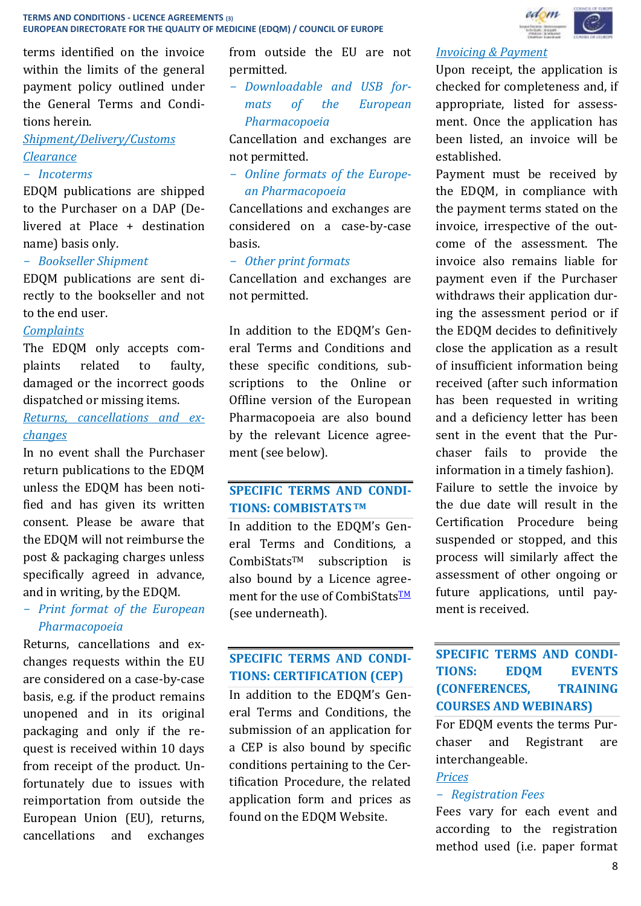terms identified on the invoice within the limits of the general payment policy outlined under the General Terms and Conditions herein.

# *Shipment/Delivery/Customs Clearance*

#### - *Incoterms*

EDQM publications are shipped to the Purchaser on a DAP (Delivered at Place + destination name) basis only.

#### - *Bookseller Shipment*

EDQM publications are sent directly to the bookseller and not to the end user.

#### *Complaints*

The EDQM only accepts complaints related to faulty, damaged or the incorrect goods dispatched or missing items.

# *Returns, cancellations and exchanges*

In no event shall the Purchaser return publications to the EDQM unless the EDQM has been notified and has given its written consent. Please be aware that the EDQM will not reimburse the post & packaging charges unless specifically agreed in advance, and in writing, by the EDQM.

# - *Print format of the European Pharmacopoeia*

Returns, cancellations and exchanges requests within the EU are considered on a case-by-case basis, e.g. if the product remains unopened and in its original packaging and only if the request is received within 10 days from receipt of the product. Unfortunately due to issues with reimportation from outside the European Union (EU), returns, cancellations and exchanges from outside the EU are not permitted*.*

- *Downloadable and USB formats of the European Pharmacopoeia*

Cancellation and exchanges are not permitted.

- *Online formats of the European Pharmacopoeia*

Cancellations and exchanges are considered on a case-by-case basis.

#### - *Other print formats*

Cancellation and exchanges are not permitted.

In addition to the EDQM's General Terms and Conditions and these specific conditions*,* subscriptions to the Online or Offline version of the European Pharmacopoeia are also bound by the relevant Licence agreement (see below).

# **SPECIFIC TERMS AND CONDI-TIONS: COMBISTATS TM**

In addition to the EDQM's General Terms and Conditions*,* a CombiStatsTM subscription is also bound by a Licence agreement for the use of CombiStats<sup>TM</sup> (see underneath).

# **SPECIFIC TERMS AND CONDI-TIONS: CERTIFICATION (CEP)**

In addition to the EDQM's General Terms and Conditions, the submission of an application for a CEP is also bound by specific conditions pertaining to the Certification Procedure, the related application form and prices as found on the EDQM Website.

# edom

#### *Invoicing & Payment*

Upon receipt, the application is checked for completeness and, if appropriate, listed for assessment. Once the application has been listed, an invoice will be established.

Payment must be received by the EDQM, in compliance with the payment terms stated on the invoice, irrespective of the outcome of the assessment. The invoice also remains liable for payment even if the Purchaser withdraws their application during the assessment period or if the EDQM decides to definitively close the application as a result of insufficient information being received (after such information has been requested in writing and a deficiency letter has been sent in the event that the Purchaser fails to provide the information in a timely fashion). Failure to settle the invoice by the due date will result in the Certification Procedure being suspended or stopped, and this process will similarly affect the assessment of other ongoing or future applications, until payment is received.

# **SPECIFIC TERMS AND CONDI-TIONS: EDQM EVENTS (CONFERENCES, TRAINING COURSES AND WEBINARS)**

For EDQM events the terms Purchaser and Registrant are interchangeable.

#### *Prices*

#### - *Registration Fees*

Fees vary for each event and according to the registration method used (i.e. paper format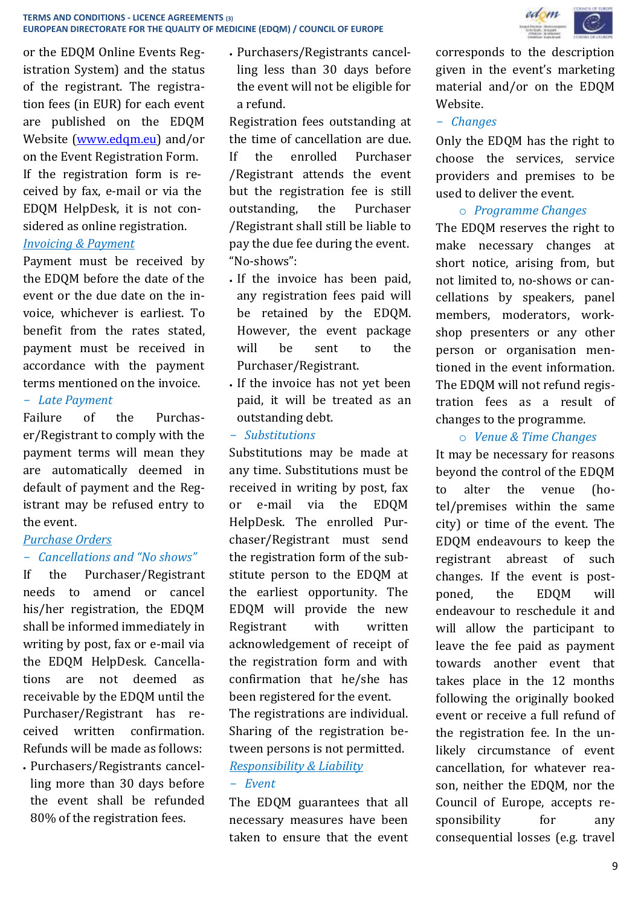

or the EDQM Online Events Registration System) and the status of the registrant. The registration fees (in EUR) for each event are published on the EDQM Website [\(www.edqm.eu\)](http://www.edqm.eu/) and/or on the Event Registration Form. If the registration form is received by fax, e-mail or via the EDQM HelpDesk, it is not considered as online registration. *Invoicing & Payment*

Payment must be received by the EDQM before the date of the event or the due date on the invoice, whichever is earliest. To benefit from the rates stated, payment must be received in accordance with the payment terms mentioned on the invoice.

#### - *Late Payment*

Failure of the Purchaser/Registrant to comply with the payment terms will mean they are automatically deemed in default of payment and the Registrant may be refused entry to the event.

### *Purchase Orders*

### - *Cancellations and "No shows"*

If the Purchaser/Registrant needs to amend or cancel his/her registration, the EDQM shall be informed immediately in writing by post, fax or e-mail via the EDQM HelpDesk. Cancellations are not deemed as receivable by the EDQM until the Purchaser/Registrant has received written confirmation. Refunds will be made as follows:

 Purchasers/Registrants cancelling more than 30 days before the event shall be refunded 80% of the registration fees.

 Purchasers/Registrants cancelling less than 30 days before the event will not be eligible for a refund.

Registration fees outstanding at the time of cancellation are due. If the enrolled Purchaser /Registrant attends the event but the registration fee is still outstanding, the Purchaser /Registrant shall still be liable to pay the due fee during the event. "No-shows":

- If the invoice has been paid. any registration fees paid will be retained by the EDQM. However, the event package will be sent to the Purchaser/Registrant.
- If the invoice has not yet been paid, it will be treated as an outstanding debt.

#### - *Substitutions*

Substitutions may be made at any time. Substitutions must be received in writing by post, fax or e-mail via the EDQM HelpDesk. The enrolled Purchaser/Registrant must send the registration form of the substitute person to the EDQM at the earliest opportunity. The EDQM will provide the new Registrant with written acknowledgement of receipt of the registration form and with confirmation that he/she has been registered for the event. The registrations are individual. Sharing of the registration between persons is not permitted. *Responsibility & Liability*

#### - *Event*

The EDQM guarantees that all necessary measures have been taken to ensure that the event

corresponds to the description given in the event's marketing material and/or on the EDQM Website.

# - *Changes*

Only the EDQM has the right to choose the services, service providers and premises to be used to deliver the event.

# o *Programme Changes*

The EDQM reserves the right to make necessary changes at short notice, arising from, but not limited to, no-shows or cancellations by speakers, panel members, moderators, workshop presenters or any other person or organisation mentioned in the event information. The EDQM will not refund registration fees as a result of changes to the programme.

# o *Venue & Time Changes*

It may be necessary for reasons beyond the control of the EDQM to alter the venue (hotel/premises within the same city) or time of the event. The EDQM endeavours to keep the registrant abreast of such changes. If the event is postponed, the EDQM will endeavour to reschedule it and will allow the participant to leave the fee paid as payment towards another event that takes place in the 12 months following the originally booked event or receive a full refund of the registration fee. In the unlikely circumstance of event cancellation, for whatever reason, neither the EDQM, nor the Council of Europe, accepts responsibility for any consequential losses (e.g. travel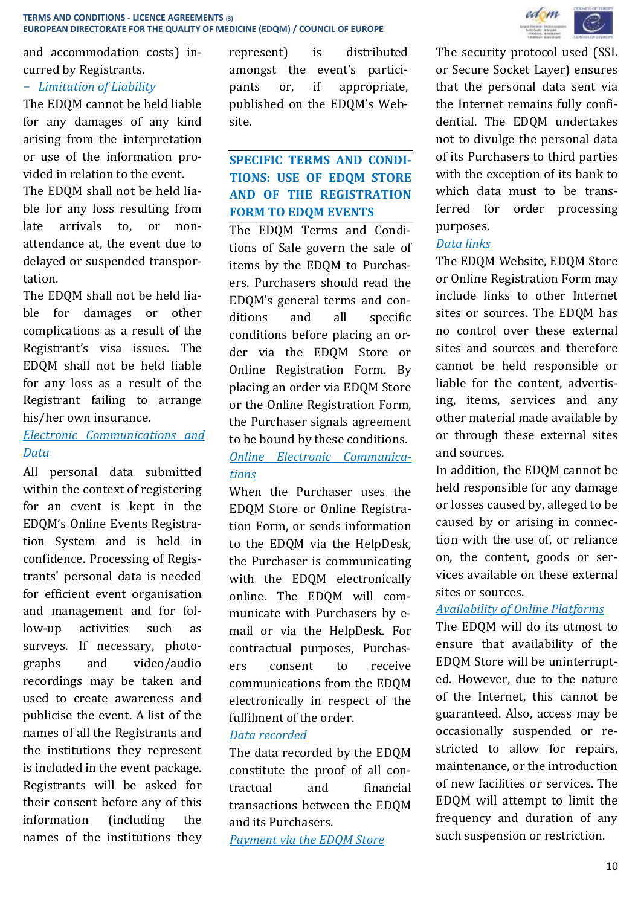and accommodation costs) incurred by Registrants.

# - *Limitation of Liability*

The EDQM cannot be held liable for any damages of any kind arising from the interpretation or use of the information provided in relation to the event.

The EDQM shall not be held liable for any loss resulting from late arrivals to, or nonattendance at, the event due to delayed or suspended transportation.

The EDQM shall not be held liable for damages or other complications as a result of the Registrant's visa issues. The EDQM shall not be held liable for any loss as a result of the Registrant failing to arrange his/her own insurance.

# *Electronic Communications and Data*

All personal data submitted within the context of registering for an event is kept in the EDQM's Online Events Registration System and is held in confidence. Processing of Registrants' personal data is needed for efficient event organisation and management and for follow-up activities such as surveys. If necessary, photographs and video/audio recordings may be taken and used to create awareness and publicise the event. A list of the names of all the Registrants and the institutions they represent is included in the event package. Registrants will be asked for their consent before any of this information (including the names of the institutions they

represent) is distributed amongst the event's participants or, if appropriate, published on the EDQM's Website.

# **SPECIFIC TERMS AND CONDI-TIONS: USE OF EDQM STORE AND OF THE REGISTRATION FORM TO EDQM EVENTS**

The EDQM Terms and Conditions of Sale govern the sale of items by the EDQM to Purchasers. Purchasers should read the EDQM's general terms and conditions and all specific conditions before placing an order via the EDQM Store or Online Registration Form. By placing an order via EDQM Store or the Online Registration Form, the Purchaser signals agreement to be bound by these conditions. *Online Electronic Communications*

When the Purchaser uses the EDQM Store or Online Registration Form, or sends information to the EDQM via the HelpDesk, the Purchaser is communicating with the EDQM electronically online. The EDQM will communicate with Purchasers by email or via the HelpDesk. For contractual purposes, Purchasers consent to receive communications from the EDQM electronically in respect of the fulfilment of the order.

### *Data recorded*

The data recorded by the EDQM constitute the proof of all contractual and financial transactions between the EDQM and its Purchasers.

*Payment via the EDQM Store*



The security protocol used (SSL or Secure Socket Layer) ensures that the personal data sent via the Internet remains fully confidential. The EDQM undertakes not to divulge the personal data of its Purchasers to third parties with the exception of its bank to which data must to be transferred for order processing purposes.

# *Data links*

The EDQM Website, EDQM Store or Online Registration Form may include links to other Internet sites or sources. The EDQM has no control over these external sites and sources and therefore cannot be held responsible or liable for the content, advertising, items, services and any other material made available by or through these external sites and sources.

In addition, the EDQM cannot be held responsible for any damage or losses caused by, alleged to be caused by or arising in connection with the use of, or reliance on, the content, goods or services available on these external sites or sources.

# *Availability of Online Platforms*

The EDQM will do its utmost to ensure that availability of the EDQM Store will be uninterrupted. However, due to the nature of the Internet, this cannot be guaranteed. Also, access may be occasionally suspended or restricted to allow for repairs, maintenance, or the introduction of new facilities or services. The EDQM will attempt to limit the frequency and duration of any such suspension or restriction.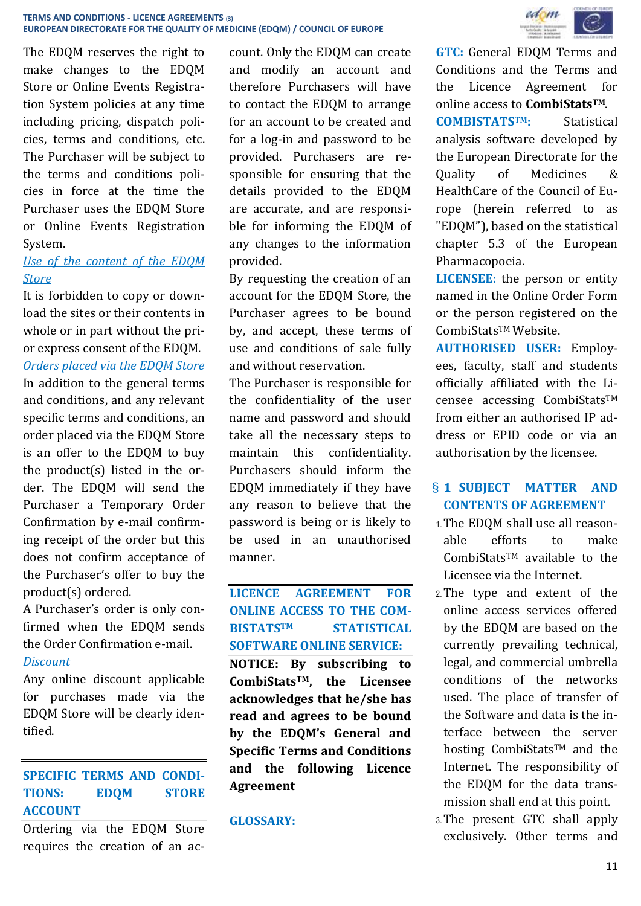The EDQM reserves the right to make changes to the EDQM Store or Online Events Registration System policies at any time including pricing, dispatch policies, terms and conditions, etc. The Purchaser will be subject to the terms and conditions policies in force at the time the Purchaser uses the EDQM Store or Online Events Registration System.

# *Use of the content of the EDQM Store*

It is forbidden to copy or download the sites or their contents in whole or in part without the prior express consent of the EDQM. *Orders placed via the EDQM Store* In addition to the general terms and conditions, and any relevant specific terms and conditions, an order placed via the EDQM Store is an offer to the EDQM to buy the product(s) listed in the order. The EDQM will send the Purchaser a Temporary Order Confirmation by e-mail confirming receipt of the order but this does not confirm acceptance of the Purchaser's offer to buy the product(s) ordered.

A Purchaser's order is only confirmed when the EDQM sends the Order Confirmation e-mail.

# *Discount*

Any online discount applicable for purchases made via the EDQM Store will be clearly identified.

# **SPECIFIC TERMS AND CONDI-TIONS: EDQM STORE ACCOUNT**

Ordering via the EDQM Store requires the creation of an account. Only the EDQM can create and modify an account and therefore Purchasers will have to contact the EDQM to arrange for an account to be created and for a log-in and password to be provided. Purchasers are responsible for ensuring that the details provided to the EDQM are accurate, and are responsible for informing the EDQM of any changes to the information provided.

By requesting the creation of an account for the EDQM Store, the Purchaser agrees to be bound by, and accept, these terms of use and conditions of sale fully and without reservation.

The Purchaser is responsible for the confidentiality of the user name and password and should take all the necessary steps to maintain this confidentiality. Purchasers should inform the EDQM immediately if they have any reason to believe that the password is being or is likely to be used in an unauthorised manner.

**LICENCE AGREEMENT FOR ONLINE ACCESS TO THE COM-BISTATSTM STATISTICAL SOFTWARE ONLINE SERVICE: NOTICE: By subscribing to CombiStatsTM, the Licensee acknowledges that he/she has read and agrees to be bound by the EDQM's General and Specific Terms and Conditions and the following Licence Agreement**

#### **GLOSSARY:**



**GTC:** General EDQM Terms and Conditions and the Terms and the Licence Agreement for online access to **CombiStatsTM**.

**COMBISTATSTM:** Statistical analysis software developed by the European Directorate for the Quality of Medicines & HealthCare of the Council of Europe (herein referred to as "EDQM"), based on the statistical chapter 5.3 of the European Pharmacopoeia.

**LICENSEE:** the person or entity named in the Online Order Form or the person registered on the CombiStatsTM Website.

**AUTHORISED USER:** Employees, faculty, staff and students officially affiliated with the Licensee accessing CombiStatsTM from either an authorised IP address or EPID code or via an authorisation by the licensee.

# § **1 SUBJECT MATTER AND CONTENTS OF AGREEMENT**

- 1.The EDQM shall use all reasonable efforts to make CombiStatsTM available to the Licensee via the Internet.
- 2.The type and extent of the online access services offered by the EDQM are based on the currently prevailing technical, legal, and commercial umbrella conditions of the networks used. The place of transfer of the Software and data is the interface between the server hosting CombiStats<sup>TM</sup> and the Internet. The responsibility of the EDQM for the data transmission shall end at this point.
- 3.The present GTC shall apply exclusively. Other terms and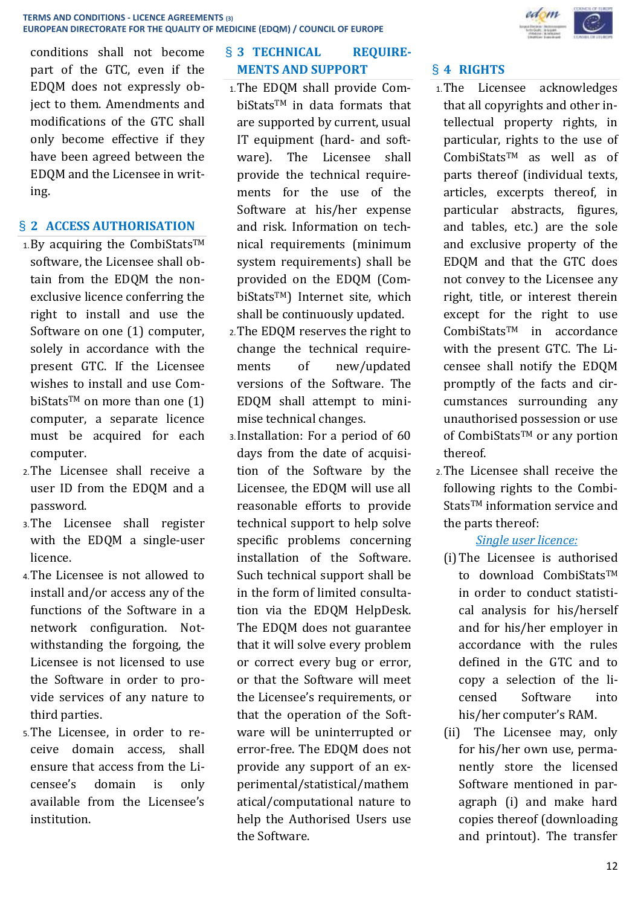

conditions shall not become part of the GTC, even if the EDQM does not expressly object to them. Amendments and modifications of the GTC shall only become effective if they have been agreed between the EDQM and the Licensee in writing.

# § **2 ACCESS AUTHORISATION**

- $1.$  By acquiring the CombiStats<sup>TM</sup> software, the Licensee shall obtain from the EDQM the nonexclusive licence conferring the right to install and use the Software on one (1) computer, solely in accordance with the present GTC. If the Licensee wishes to install and use CombiStats<sup>TM</sup> on more than one  $(1)$ computer, a separate licence must be acquired for each computer.
- 2.The Licensee shall receive a user ID from the EDQM and a password.
- 3.The Licensee shall register with the EDQM a single-user licence.
- 4.The Licensee is not allowed to install and/or access any of the functions of the Software in a network configuration. Notwithstanding the forgoing, the Licensee is not licensed to use the Software in order to provide services of any nature to third parties.
- 5.The Licensee, in order to receive domain access, shall ensure that access from the Licensee's domain is only available from the Licensee's institution.

# § **3 TECHNICAL REQUIRE-MENTS AND SUPPORT**

- 1.The EDQM shall provide CombiStatsTM in data formats that are supported by current, usual IT equipment (hard- and software). The Licensee shall provide the technical requirements for the use of the Software at his/her expense and risk. Information on technical requirements (minimum system requirements) shall be provided on the EDQM (CombiStatsTM) Internet site, which shall be continuously updated.
- 2.The EDQM reserves the right to change the technical requirements of new/updated versions of the Software. The EDQM shall attempt to minimise technical changes.
- 3.Installation: For a period of 60 days from the date of acquisition of the Software by the Licensee, the EDQM will use all reasonable efforts to provide technical support to help solve specific problems concerning installation of the Software. Such technical support shall be in the form of limited consultation via the EDQM HelpDesk. The EDQM does not guarantee that it will solve every problem or correct every bug or error, or that the Software will meet the Licensee's requirements, or that the operation of the Software will be uninterrupted or error-free. The EDQM does not provide any support of an experimental/statistical/mathem atical/computational nature to help the Authorised Users use the Software.

# § **4 RIGHTS**

- 1.The Licensee acknowledges that all copyrights and other intellectual property rights, in particular, rights to the use of CombiStatsTM as well as of parts thereof (individual texts, articles, excerpts thereof, in particular abstracts, figures, and tables, etc.) are the sole and exclusive property of the EDQM and that the GTC does not convey to the Licensee any right, title, or interest therein except for the right to use CombiStatsTM in accordance with the present GTC. The Licensee shall notify the EDQM promptly of the facts and circumstances surrounding any unauthorised possession or use of CombiStats™ or any portion thereof.
- 2.The Licensee shall receive the following rights to the Combi-Stats<sup>TM</sup> information service and the parts thereof:

# *Single user licence:*

- (i)The Licensee is authorised to download CombiStatsTM in order to conduct statistical analysis for his/herself and for his/her employer in accordance with the rules defined in the GTC and to copy a selection of the licensed Software into his/her computer's RAM.
- (ii) The Licensee may, only for his/her own use, permanently store the licensed Software mentioned in paragraph (i) and make hard copies thereof (downloading and printout). The transfer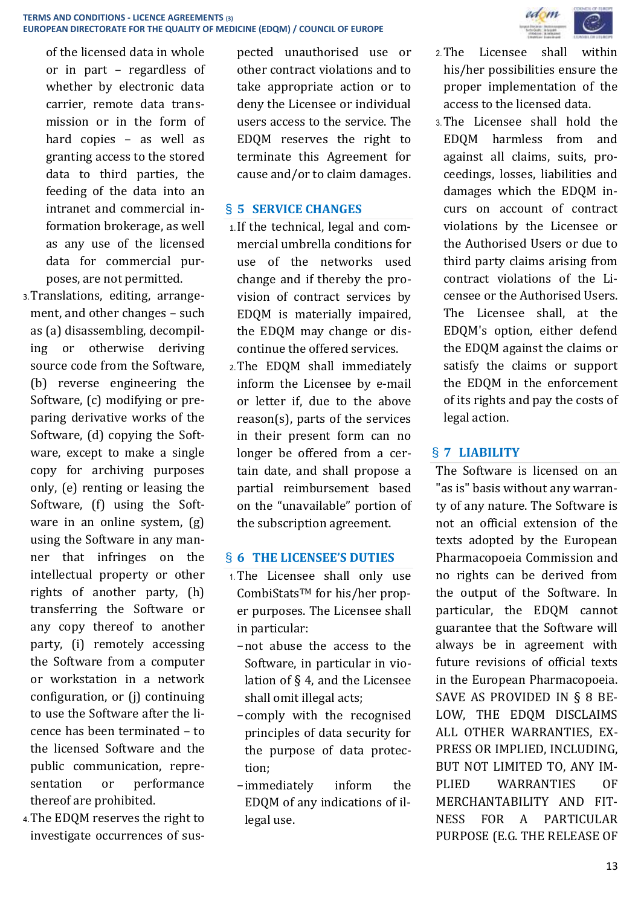

- 3.Translations, editing, arrangement, and other changes – such as (a) disassembling, decompiling or otherwise deriving source code from the Software, (b) reverse engineering the Software, (c) modifying or preparing derivative works of the Software, (d) copying the Software, except to make a single copy for archiving purposes only, (e) renting or leasing the Software, (f) using the Software in an online system, (g) using the Software in any manner that infringes on the intellectual property or other rights of another party, (h) transferring the Software or any copy thereof to another party, (i) remotely accessing the Software from a computer or workstation in a network configuration, or (j) continuing to use the Software after the licence has been terminated – to the licensed Software and the public communication, representation or performance thereof are prohibited.
- 4.The EDQM reserves the right to investigate occurrences of sus-

pected unauthorised use or other contract violations and to take appropriate action or to deny the Licensee or individual users access to the service. The EDQM reserves the right to terminate this Agreement for cause and/or to claim damages.

# § **5 SERVICE CHANGES**

- 1.If the technical, legal and commercial umbrella conditions for use of the networks used change and if thereby the provision of contract services by EDQM is materially impaired, the EDQM may change or discontinue the offered services.
- 2.The EDQM shall immediately inform the Licensee by e-mail or letter if, due to the above reason(s), parts of the services in their present form can no longer be offered from a certain date, and shall propose a partial reimbursement based on the "unavailable" portion of the subscription agreement.

### § **6 THE LICENSEE'S DUTIES**

- 1.The Licensee shall only use CombiStatsTM for his/her proper purposes. The Licensee shall in particular:
	- −not abuse the access to the Software, in particular in violation of § 4, and the Licensee shall omit illegal acts;
	- −comply with the recognised principles of data security for the purpose of data protection;
	- −immediately inform the EDQM of any indications of illegal use.



- 2.The Licensee shall within his/her possibilities ensure the proper implementation of the access to the licensed data.
- 3.The Licensee shall hold the EDQM harmless from and against all claims, suits, proceedings, losses, liabilities and damages which the EDQM incurs on account of contract violations by the Licensee or the Authorised Users or due to third party claims arising from contract violations of the Licensee or the Authorised Users. The Licensee shall, at the EDQM's option, either defend the EDQM against the claims or satisfy the claims or support the EDQM in the enforcement of its rights and pay the costs of legal action.

# § **7 LIABILITY**

The Software is licensed on an "as is" basis without any warranty of any nature. The Software is not an official extension of the texts adopted by the European Pharmacopoeia Commission and no rights can be derived from the output of the Software. In particular, the EDQM cannot guarantee that the Software will always be in agreement with future revisions of official texts in the European Pharmacopoeia. SAVE AS PROVIDED IN § 8 BE-LOW, THE EDQM DISCLAIMS ALL OTHER WARRANTIES, EX-PRESS OR IMPLIED, INCLUDING, BUT NOT LIMITED TO, ANY IM-PLIED WARRANTIES OF MERCHANTABILITY AND FIT-NESS FOR A PARTICULAR PURPOSE (E.G. THE RELEASE OF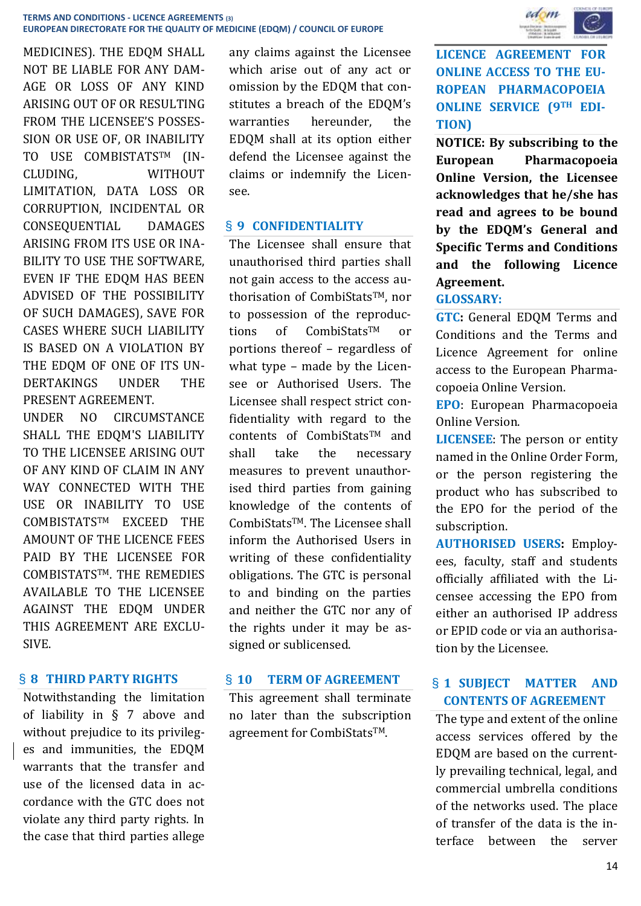MEDICINES). THE EDQM SHALL NOT BE LIABLE FOR ANY DAM-AGE OR LOSS OF ANY KIND ARISING OUT OF OR RESULTING FROM THE LICENSEE'S POSSES-SION OR USE OF, OR INABILITY TO USE COMBISTATSTM (IN-CLUDING, WITHOUT LIMITATION, DATA LOSS OR CORRUPTION, INCIDENTAL OR CONSEQUENTIAL DAMAGES ARISING FROM ITS USE OR INA-BILITY TO USE THE SOFTWARE, EVEN IF THE EDQM HAS BEEN ADVISED OF THE POSSIBILITY OF SUCH DAMAGES), SAVE FOR CASES WHERE SUCH LIABILITY IS BASED ON A VIOLATION BY THE EDOM OF ONE OF ITS UN-DERTAKINGS UNDER THE PRESENT AGREEMENT.

UNDER NO CIRCUMSTANCE SHALL THE EDQM'S LIABILITY TO THE LICENSEE ARISING OUT OF ANY KIND OF CLAIM IN ANY WAY CONNECTED WITH THE USE OR INABILITY TO USE COMBISTATSTM EXCEED THE AMOUNT OF THE LICENCE FEES PAID BY THE LICENSEE FOR COMBISTATSTM. THE REMEDIES AVAILABLE TO THE LICENSEE AGAINST THE EDQM UNDER THIS AGREEMENT ARE EXCLU-SIVE.

### § **8 THIRD PARTY RIGHTS**

Notwithstanding the limitation of liability in § 7 above and without prejudice to its privileges and immunities, the EDQM warrants that the transfer and use of the licensed data in accordance with the GTC does not violate any third party rights. In the case that third parties allege any claims against the Licensee which arise out of any act or omission by the EDQM that constitutes a breach of the EDQM's warranties hereunder, the EDQM shall at its option either defend the Licensee against the claims or indemnify the Licensee.

#### § **9 CONFIDENTIALITY**

The Licensee shall ensure that unauthorised third parties shall not gain access to the access authorisation of CombiStats™, nor to possession of the reproductions of CombiStatsTM or portions thereof – regardless of what type – made by the Licensee or Authorised Users. The Licensee shall respect strict confidentiality with regard to the contents of CombiStatsTM and shall take the necessary measures to prevent unauthorised third parties from gaining knowledge of the contents of CombiStats™. The Licensee shall inform the Authorised Users in writing of these confidentiality obligations. The GTC is personal to and binding on the parties and neither the GTC nor any of the rights under it may be assigned or sublicensed.

#### § **10 TERM OF AGREEMENT**

This agreement shall terminate no later than the subscription agreement for CombiStatsTM.



**LICENCE AGREEMENT FOR ONLINE ACCESS TO THE EU-ROPEAN PHARMACOPOEIA ONLINE SERVICE (9TH EDI-TION)**

**NOTICE: By subscribing to the European Pharmacopoeia Online Version, the Licensee acknowledges that he/she has read and agrees to be bound by the EDQM's General and Specific Terms and Conditions and the following Licence Agreement.**

# **GLOSSARY:**

**GTC:** General EDQM Terms and Conditions and the Terms and Licence Agreement for online access to the European Pharmacopoeia Online Version.

**EPO**: European Pharmacopoeia Online Version.

**LICENSEE**: The person or entity named in the Online Order Form, or the person registering the product who has subscribed to the EPO for the period of the subscription.

**AUTHORISED USERS:** Employees, faculty, staff and students officially affiliated with the Licensee accessing the EPO from either an authorised IP address or EPID code or via an authorisation by the Licensee.

# § **1 SUBJECT MATTER AND CONTENTS OF AGREEMENT**

The type and extent of the online access services offered by the EDQM are based on the currently prevailing technical, legal, and commercial umbrella conditions of the networks used. The place of transfer of the data is the interface between the server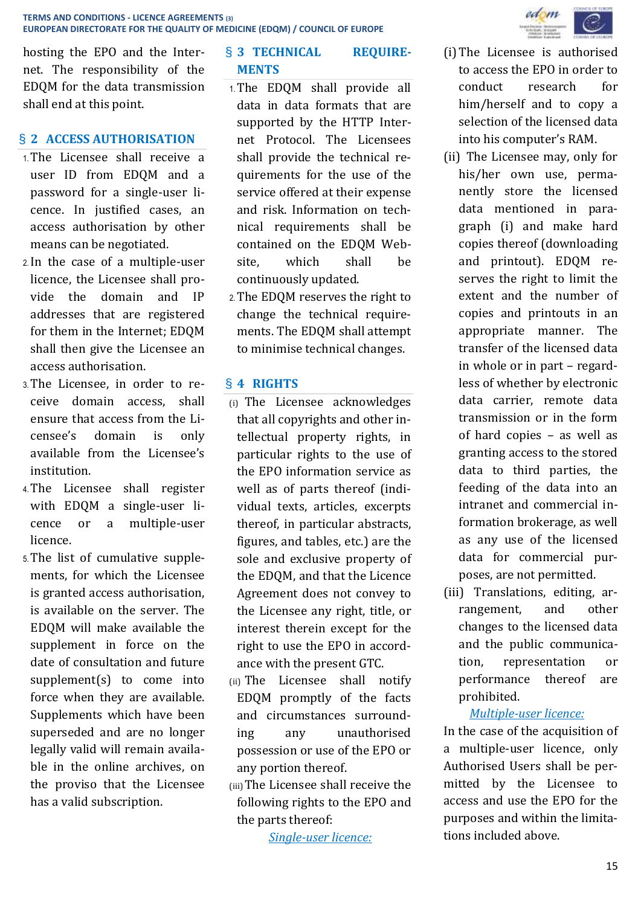

hosting the EPO and the Internet. The responsibility of the EDQM for the data transmission shall end at this point.

# § **2 ACCESS AUTHORISATION**

- 1.The Licensee shall receive a user ID from EDQM and a password for a single-user licence. In justified cases, an access authorisation by other means can be negotiated.
- 2.In the case of a multiple-user licence, the Licensee shall provide the domain and IP addresses that are registered for them in the Internet; EDQM shall then give the Licensee an access authorisation.
- 3.The Licensee, in order to receive domain access, shall ensure that access from the Licensee's domain is only available from the Licensee's institution.
- 4.The Licensee shall register with EDQM a single-user licence or a multiple-user licence.
- 5.The list of cumulative supplements, for which the Licensee is granted access authorisation, is available on the server. The EDQM will make available the supplement in force on the date of consultation and future supplement(s) to come into force when they are available. Supplements which have been superseded and are no longer legally valid will remain available in the online archives, on the proviso that the Licensee has a valid subscription.

# § **3 TECHNICAL REQUIRE-MENTS**

- 1.The EDQM shall provide all data in data formats that are supported by the HTTP Internet Protocol. The Licensees shall provide the technical requirements for the use of the service offered at their expense and risk. Information on technical requirements shall be contained on the EDQM Website, which shall be continuously updated.
- 2.The EDQM reserves the right to change the technical requirements. The EDQM shall attempt to minimise technical changes.

### § **4 RIGHTS**

- (i) The Licensee acknowledges that all copyrights and other intellectual property rights, in particular rights to the use of the EPO information service as well as of parts thereof (individual texts, articles, excerpts thereof, in particular abstracts, figures, and tables, etc.) are the sole and exclusive property of the EDQM, and that the Licence Agreement does not convey to the Licensee any right, title, or interest therein except for the right to use the EPO in accordance with the present GTC.
- (ii) The Licensee shall notify EDQM promptly of the facts and circumstances surrounding any unauthorised possession or use of the EPO or any portion thereof.
- (iii)The Licensee shall receive the following rights to the EPO and the parts thereof:

*Single-user licence:*

- (i)The Licensee is authorised to access the EPO in order to conduct research for him/herself and to copy a selection of the licensed data into his computer's RAM.
- (ii) The Licensee may, only for his/her own use, permanently store the licensed data mentioned in paragraph (i) and make hard copies thereof (downloading and printout). EDQM reserves the right to limit the extent and the number of copies and printouts in an appropriate manner. The transfer of the licensed data in whole or in part – regardless of whether by electronic data carrier, remote data transmission or in the form of hard copies – as well as granting access to the stored data to third parties, the feeding of the data into an intranet and commercial information brokerage, as well as any use of the licensed data for commercial purposes, are not permitted.
- (iii) Translations, editing, arrangement, and other changes to the licensed data and the public communication, representation or performance thereof are prohibited.

# *Multiple-user licence:*

In the case of the acquisition of a multiple-user licence, only Authorised Users shall be permitted by the Licensee to access and use the EPO for the purposes and within the limitations included above.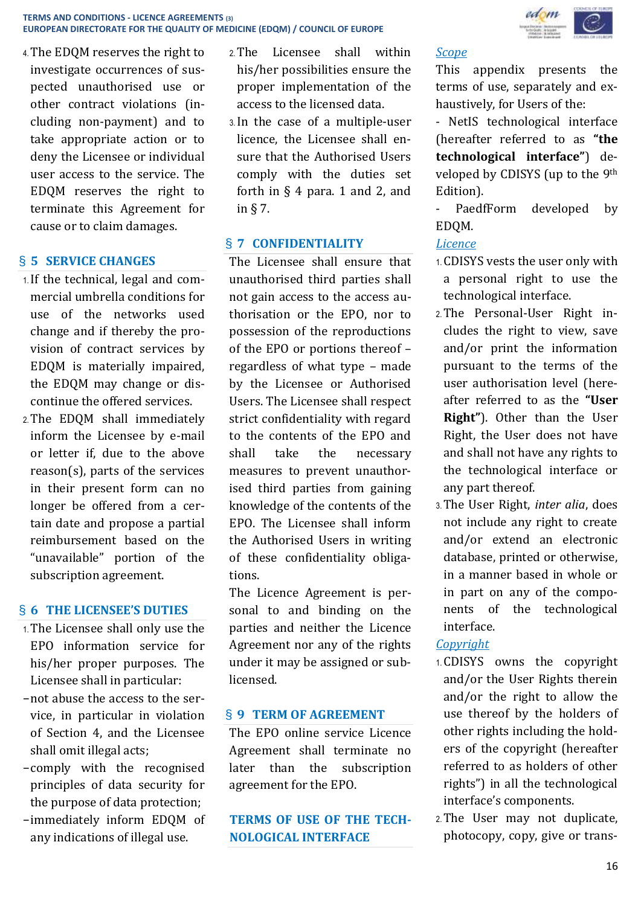

4.The EDQM reserves the right to investigate occurrences of suspected unauthorised use or other contract violations (including non-payment) and to take appropriate action or to deny the Licensee or individual user access to the service. The EDQM reserves the right to terminate this Agreement for cause or to claim damages.

# § **5 SERVICE CHANGES**

- 1.If the technical, legal and commercial umbrella conditions for use of the networks used change and if thereby the provision of contract services by EDQM is materially impaired, the EDQM may change or discontinue the offered services.
- 2.The EDQM shall immediately inform the Licensee by e-mail or letter if, due to the above reason(s), parts of the services in their present form can no longer be offered from a certain date and propose a partial reimbursement based on the "unavailable" portion of the subscription agreement.

### § **6 THE LICENSEE'S DUTIES**

- 1.The Licensee shall only use the EPO information service for his/her proper purposes. The Licensee shall in particular:
- −not abuse the access to the service, in particular in violation of Section 4, and the Licensee shall omit illegal acts;
- −comply with the recognised principles of data security for the purpose of data protection;
- −immediately inform EDQM of any indications of illegal use.
- 2.The Licensee shall within his/her possibilities ensure the proper implementation of the access to the licensed data.
- 3.In the case of a multiple-user licence, the Licensee shall ensure that the Authorised Users comply with the duties set forth in  $\S$  4 para. 1 and 2, and in § 7.

# § **7 CONFIDENTIALITY**

The Licensee shall ensure that unauthorised third parties shall not gain access to the access authorisation or the EPO, nor to possession of the reproductions of the EPO or portions thereof – regardless of what type – made by the Licensee or Authorised Users. The Licensee shall respect strict confidentiality with regard to the contents of the EPO and shall take the necessary measures to prevent unauthorised third parties from gaining knowledge of the contents of the EPO. The Licensee shall inform the Authorised Users in writing of these confidentiality obligations.

The Licence Agreement is personal to and binding on the parties and neither the Licence Agreement nor any of the rights under it may be assigned or sublicensed.

### § **9 TERM OF AGREEMENT**

The EPO online service Licence Agreement shall terminate no later than the subscription agreement for the EPO.

**TERMS OF USE OF THE TECH-NOLOGICAL INTERFACE** 

*Scope*

This appendix presents the terms of use, separately and exhaustively, for Users of the:

- NetIS technological interface (hereafter referred to as **"the technological interface"**) developed by CDISYS (up to the 9th Edition).

- PaedfForm developed by EDQM.

# *Licence*

- 1.CDISYS vests the user only with a personal right to use the technological interface.
- 2.The Personal-User Right includes the right to view, save and/or print the information pursuant to the terms of the user authorisation level (hereafter referred to as the **"User Right"**). Other than the User Right, the User does not have and shall not have any rights to the technological interface or any part thereof.
- 3.The User Right, *inter alia*, does not include any right to create and/or extend an electronic database, printed or otherwise, in a manner based in whole or in part on any of the components of the technological interface.

# *Copyright*

- 1.CDISYS owns the copyright and/or the User Rights therein and/or the right to allow the use thereof by the holders of other rights including the holders of the copyright (hereafter referred to as holders of other rights") in all the technological interface's components.
- 2.The User may not duplicate, photocopy, copy, give or trans-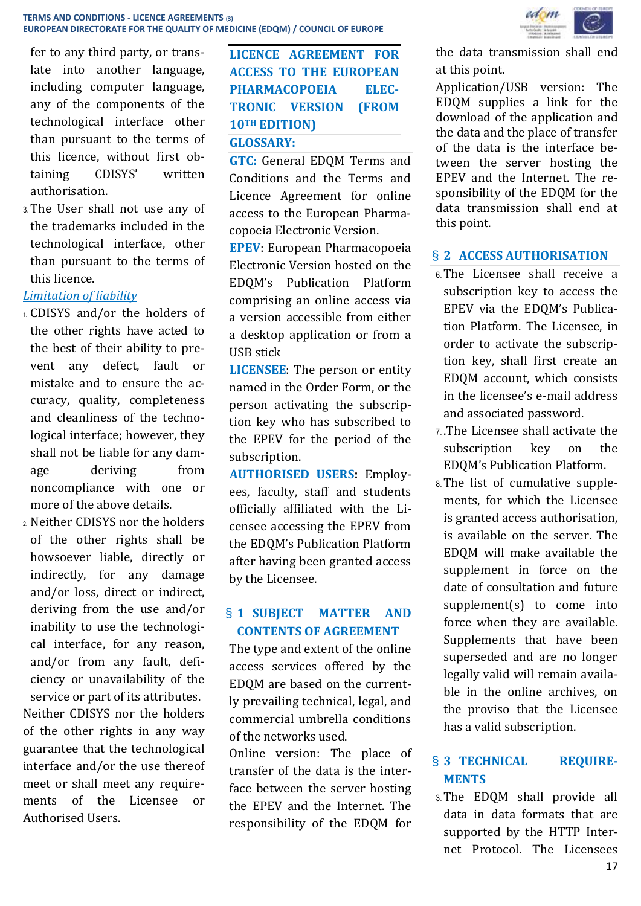fer to any third party, or translate into another language, including computer language, any of the components of the technological interface other than pursuant to the terms of this licence, without first obtaining CDISYS' written authorisation.

3.The User shall not use any of the trademarks included in the technological interface, other than pursuant to the terms of this licence.

# *Limitation of liability*

- 1. CDISYS and/or the holders of the other rights have acted to the best of their ability to prevent any defect, fault or mistake and to ensure the accuracy, quality, completeness and cleanliness of the technological interface; however, they shall not be liable for any damage deriving from noncompliance with one or more of the above details.
- 2. Neither CDISYS nor the holders of the other rights shall be howsoever liable, directly or indirectly, for any damage and/or loss, direct or indirect, deriving from the use and/or inability to use the technological interface, for any reason, and/or from any fault, deficiency or unavailability of the service or part of its attributes. Neither CDISYS nor the holders of the other rights in any way guarantee that the technological interface and/or the use thereof meet or shall meet any requirements of the Licensee or

Authorised Users.

# **LICENCE AGREEMENT FOR ACCESS TO THE EUROPEAN PHARMACOPOEIA ELEC-TRONIC VERSION (FROM 10TH EDITION) GLOSSARY:**

**GTC:** General EDQM Terms and Conditions and the Terms and Licence Agreement for online access to the European Pharmacopoeia Electronic Version.

**EPEV**: European Pharmacopoeia Electronic Version hosted on the EDQM's Publication Platform comprising an online access via a version accessible from either a desktop application or from a USB stick

**LICENSEE**: The person or entity named in the Order Form, or the person activating the subscription key who has subscribed to the EPEV for the period of the subscription.

**AUTHORISED USERS:** Employees, faculty, staff and students officially affiliated with the Licensee accessing the EPEV from the EDQM's Publication Platform after having been granted access by the Licensee.

# § **1 SUBJECT MATTER AND CONTENTS OF AGREEMENT**

The type and extent of the online access services offered by the EDQM are based on the currently prevailing technical, legal, and commercial umbrella conditions of the networks used.

Online version: The place of transfer of the data is the interface between the server hosting the EPEV and the Internet. The responsibility of the EDQM for



the data transmission shall end at this point.

Application/USB version: The EDQM supplies a link for the download of the application and the data and the place of transfer of the data is the interface between the server hosting the EPEV and the Internet. The responsibility of the EDQM for the data transmission shall end at this point.

# § **2 ACCESS AUTHORISATION**

- 6.The Licensee shall receive a subscription key to access the EPEV via the EDQM's Publication Platform. The Licensee, in order to activate the subscription key, shall first create an EDQM account, which consists in the licensee's e-mail address and associated password.
- 7. .The Licensee shall activate the subscription key on the EDQM's Publication Platform.
- 8.The list of cumulative supplements, for which the Licensee is granted access authorisation, is available on the server. The EDQM will make available the supplement in force on the date of consultation and future supplement(s) to come into force when they are available. Supplements that have been superseded and are no longer legally valid will remain available in the online archives, on the proviso that the Licensee has a valid subscription.

# § **3 TECHNICAL REQUIRE-MENTS**

3.The EDQM shall provide all data in data formats that are supported by the HTTP Internet Protocol. The Licensees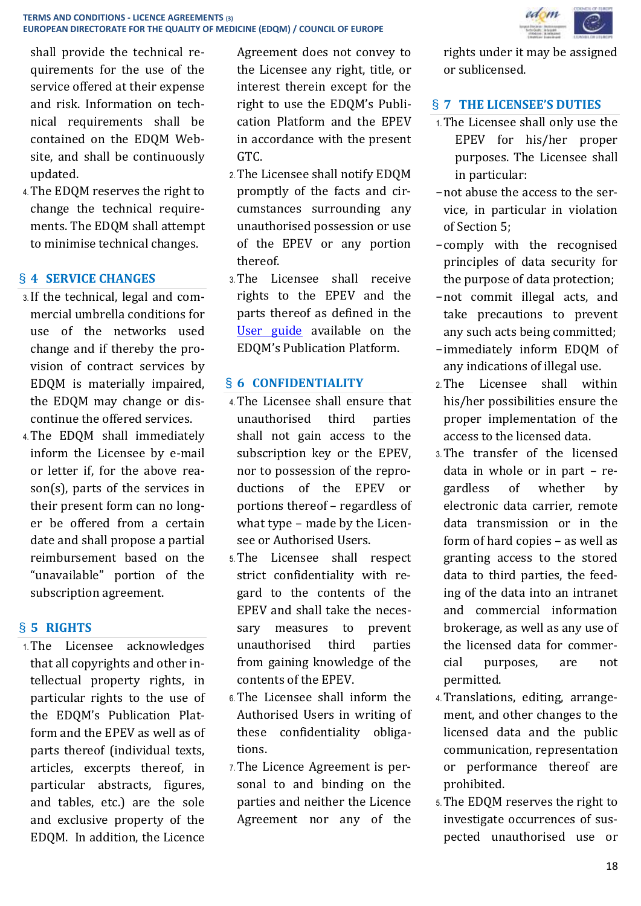shall provide the technical requirements for the use of the service offered at their expense and risk. Information on technical requirements shall be contained on the EDQM Website, and shall be continuously updated.

4.The EDQM reserves the right to change the technical requirements. The EDQM shall attempt to minimise technical changes.

# § **4 SERVICE CHANGES**

- 3.If the technical, legal and commercial umbrella conditions for use of the networks used change and if thereby the provision of contract services by EDQM is materially impaired, the EDQM may change or discontinue the offered services.
- 4.The EDQM shall immediately inform the Licensee by e-mail or letter if, for the above reason(s), parts of the services in their present form can no longer be offered from a certain date and shall propose a partial reimbursement based on the "unavailable" portion of the subscription agreement.

# § **5 RIGHTS**

1.The Licensee acknowledges that all copyrights and other intellectual property rights, in particular rights to the use of the EDQM's Publication Platform and the EPEV as well as of parts thereof (individual texts, articles, excerpts thereof, in particular abstracts, figures, and tables, etc.) are the sole and exclusive property of the EDQM. In addition, the Licence Agreement does not convey to the Licensee any right, title, or interest therein except for the right to use the EDQM's Publication Platform and the EPEV in accordance with the present GTC.

- 2.The Licensee shall notify EDQM promptly of the facts and circumstances surrounding any unauthorised possession or use of the EPEV or any portion thereof.
- 3.The Licensee shall receive rights to the EPEV and the parts thereof as defined in the [User guide](https://pheur-beta.edqm.eu/media/guides/1_en.pdf) available on the EDQM's Publication Platform.

# § **6 CONFIDENTIALITY**

- 4.The Licensee shall ensure that unauthorised third parties shall not gain access to the subscription key or the EPEV, nor to possession of the reproductions of the EPEV or portions thereof – regardless of what type – made by the Licensee or Authorised Users.
- 5.The Licensee shall respect strict confidentiality with regard to the contents of the EPEV and shall take the necessary measures to prevent unauthorised third parties from gaining knowledge of the contents of the EPEV.
- 6.The Licensee shall inform the Authorised Users in writing of these confidentiality obligations.
- 7.The Licence Agreement is personal to and binding on the parties and neither the Licence Agreement nor any of the

rights under it may be assigned or sublicensed.

### § **7 THE LICENSEE'S DUTIES**

- 1.The Licensee shall only use the EPEV for his/her proper purposes. The Licensee shall in particular:
- −not abuse the access to the service, in particular in violation of Section 5;
- −comply with the recognised principles of data security for the purpose of data protection;
- −not commit illegal acts, and take precautions to prevent any such acts being committed;
- −immediately inform EDQM of any indications of illegal use.
- 2.The Licensee shall within his/her possibilities ensure the proper implementation of the access to the licensed data.
- 3.The transfer of the licensed data in whole or in part – regardless of whether by electronic data carrier, remote data transmission or in the form of hard copies – as well as granting access to the stored data to third parties, the feeding of the data into an intranet and commercial information brokerage, as well as any use of the licensed data for commercial purposes, are not permitted.
- 4.Translations, editing, arrangement, and other changes to the licensed data and the public communication, representation or performance thereof are prohibited.
- 5.The EDQM reserves the right to investigate occurrences of suspected unauthorised use or

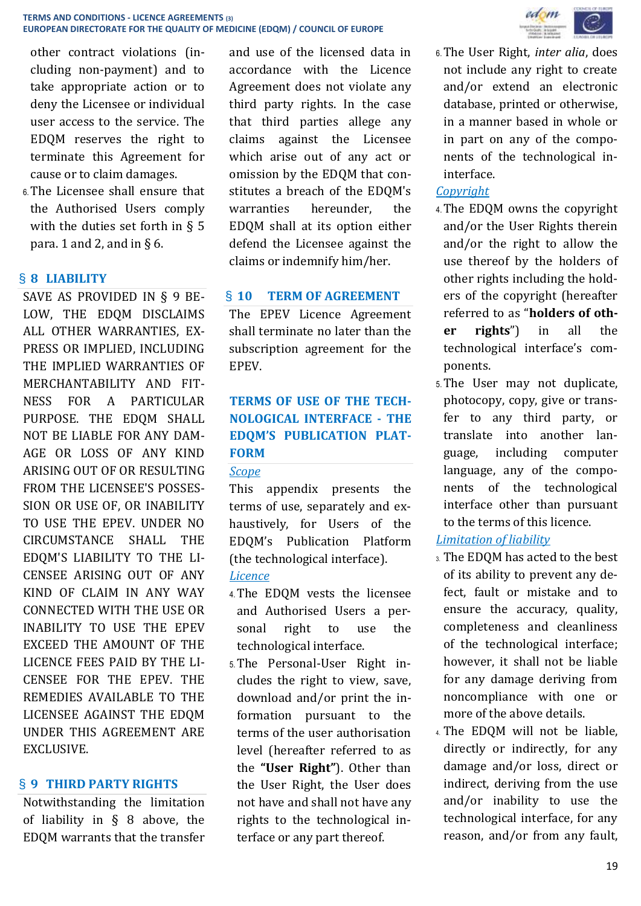other contract violations (including non-payment) and to take appropriate action or to deny the Licensee or individual user access to the service. The EDQM reserves the right to terminate this Agreement for cause or to claim damages.

6.The Licensee shall ensure that the Authorised Users comply with the duties set forth in § 5 para. 1 and 2, and in  $\S$  6.

# § **8 LIABILITY**

SAVE AS PROVIDED IN § 9 BE-LOW, THE EDQM DISCLAIMS ALL OTHER WARRANTIES, EX-PRESS OR IMPLIED, INCLUDING THE IMPLIED WARRANTIES OF MERCHANTABILITY AND FIT-NESS FOR A PARTICULAR PURPOSE. THE EDQM SHALL NOT BE LIABLE FOR ANY DAM-AGE OR LOSS OF ANY KIND ARISING OUT OF OR RESULTING FROM THE LICENSEE'S POSSES-SION OR USE OF, OR INABILITY TO USE THE EPEV. UNDER NO CIRCUMSTANCE SHALL THE EDQM'S LIABILITY TO THE LI-CENSEE ARISING OUT OF ANY KIND OF CLAIM IN ANY WAY CONNECTED WITH THE USE OR INABILITY TO USE THE EPEV EXCEED THE AMOUNT OF THE LICENCE FEES PAID BY THE LI-CENSEE FOR THE EPEV. THE REMEDIES AVAILABLE TO THE LICENSEE AGAINST THE EDQM UNDER THIS AGREEMENT ARE EXCLUSIVE.

### § **9 THIRD PARTY RIGHTS**

Notwithstanding the limitation of liability in § 8 above, the EDQM warrants that the transfer and use of the licensed data in accordance with the Licence Agreement does not violate any third party rights. In the case that third parties allege any claims against the Licensee which arise out of any act or omission by the EDQM that constitutes a breach of the EDQM's warranties hereunder, the EDQM shall at its option either defend the Licensee against the claims or indemnify him/her.

### § **10 TERM OF AGREEMENT**

The EPEV Licence Agreement shall terminate no later than the subscription agreement for the EPEV.

# **TERMS OF USE OF THE TECH-NOLOGICAL INTERFACE - THE EDQM'S PUBLICATION PLAT-FORM**

#### *Scope*

This appendix presents the terms of use, separately and exhaustively, for Users of the EDQM's Publication Platform (the technological interface).

### *Licence*

- 4.The EDQM vests the licensee and Authorised Users a personal right to use the technological interface.
- 5.The Personal-User Right includes the right to view, save, download and/or print the information pursuant to the terms of the user authorisation level (hereafter referred to as the **"User Right"**). Other than the User Right, the User does not have and shall not have any rights to the technological interface or any part thereof.



6.The User Right, *inter alia*, does not include any right to create and/or extend an electronic database, printed or otherwise, in a manner based in whole or in part on any of the components of the technological ininterface.

# *Copyright*

- 4.The EDQM owns the copyright and/or the User Rights therein and/or the right to allow the use thereof by the holders of other rights including the holders of the copyright (hereafter referred to as "**holders of other rights**") in all the technological interface's components.
- 5.The User may not duplicate, photocopy, copy, give or transfer to any third party, or translate into another language, including computer language, any of the components of the technological interface other than pursuant to the terms of this licence.

# *Limitation of liability*

- 3. The EDQM has acted to the best of its ability to prevent any defect, fault or mistake and to ensure the accuracy, quality, completeness and cleanliness of the technological interface; however, it shall not be liable for any damage deriving from noncompliance with one or more of the above details.
- 4. The EDQM will not be liable, directly or indirectly, for any damage and/or loss, direct or indirect, deriving from the use and/or inability to use the technological interface, for any reason, and/or from any fault,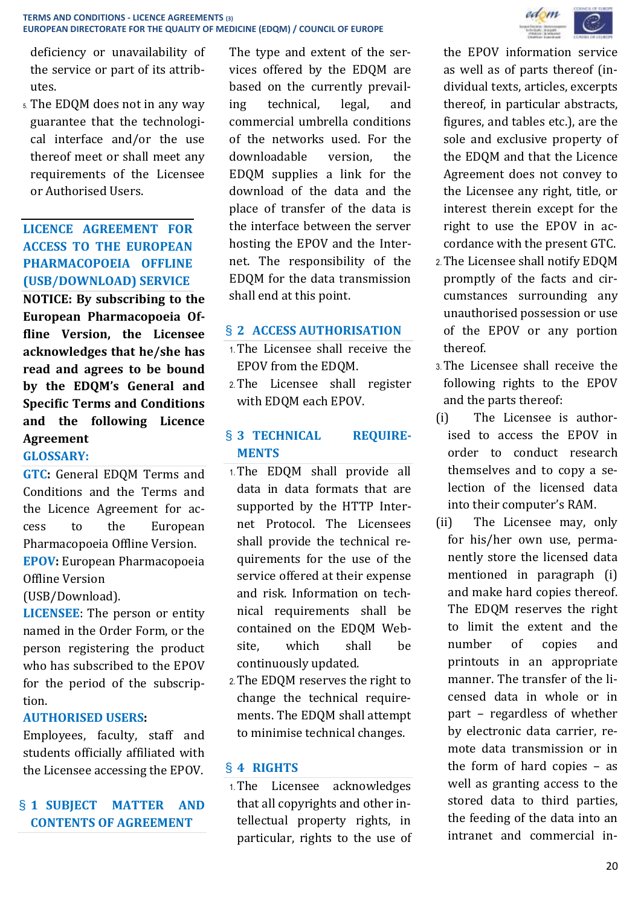deficiency or unavailability of the service or part of its attributes.

5. The EDQM does not in any way guarantee that the technological interface and/or the use thereof meet or shall meet any requirements of the Licensee or Authorised Users.

# **LICENCE AGREEMENT FOR ACCESS TO THE EUROPEAN PHARMACOPOEIA OFFLINE (USB/DOWNLOAD) SERVICE**

**NOTICE: By subscribing to the European Pharmacopoeia Offline Version, the Licensee acknowledges that he/she has read and agrees to be bound by the EDQM's General and Specific Terms and Conditions and the following Licence Agreement**

# **GLOSSARY:**

**GTC:** General EDQM Terms and Conditions and the Terms and the Licence Agreement for access to the European Pharmacopoeia Offline Version. **EPOV:** European Pharmacopoeia Offline Version

(USB/Download).

**LICENSEE**: The person or entity named in the Order Form, or the person registering the product who has subscribed to the EPOV for the period of the subscription.

# **AUTHORISED USERS:**

Employees, faculty, staff and students officially affiliated with the Licensee accessing the EPOV.

# § **1 SUBJECT MATTER AND CONTENTS OF AGREEMENT**

The type and extent of the services offered by the EDQM are based on the currently prevailing technical, legal, and commercial umbrella conditions of the networks used. For the downloadable version, the EDQM supplies a link for the download of the data and the place of transfer of the data is the interface between the server hosting the EPOV and the Internet. The responsibility of the EDQM for the data transmission shall end at this point.

# § **2 ACCESS AUTHORISATION**

- 1.The Licensee shall receive the EPOV from the EDQM.
- 2.The Licensee shall register with EDQM each EPOV.

# § **3 TECHNICAL REQUIRE-MENTS**

- 1.The EDQM shall provide all data in data formats that are supported by the HTTP Internet Protocol. The Licensees shall provide the technical requirements for the use of the service offered at their expense and risk. Information on technical requirements shall be contained on the EDQM Website, which shall be continuously updated.
- 2.The EDQM reserves the right to change the technical requirements. The EDQM shall attempt to minimise technical changes.

# § **4 RIGHTS**

1.The Licensee acknowledges that all copyrights and other intellectual property rights, in particular, rights to the use of



the EPOV information service as well as of parts thereof (individual texts, articles, excerpts thereof, in particular abstracts, figures, and tables etc.), are the sole and exclusive property of the EDQM and that the Licence Agreement does not convey to the Licensee any right, title, or interest therein except for the right to use the EPOV in accordance with the present GTC.

- 2.The Licensee shall notify EDQM promptly of the facts and circumstances surrounding any unauthorised possession or use of the EPOV or any portion thereof.
- 3.The Licensee shall receive the following rights to the EPOV and the parts thereof:
- (i) The Licensee is authorised to access the EPOV in order to conduct research themselves and to copy a selection of the licensed data into their computer's RAM.
- (ii) The Licensee may, only for his/her own use, permanently store the licensed data mentioned in paragraph (i) and make hard copies thereof. The EDQM reserves the right to limit the extent and the number of copies and printouts in an appropriate manner. The transfer of the licensed data in whole or in part – regardless of whether by electronic data carrier, remote data transmission or in the form of hard copies – as well as granting access to the stored data to third parties, the feeding of the data into an intranet and commercial in-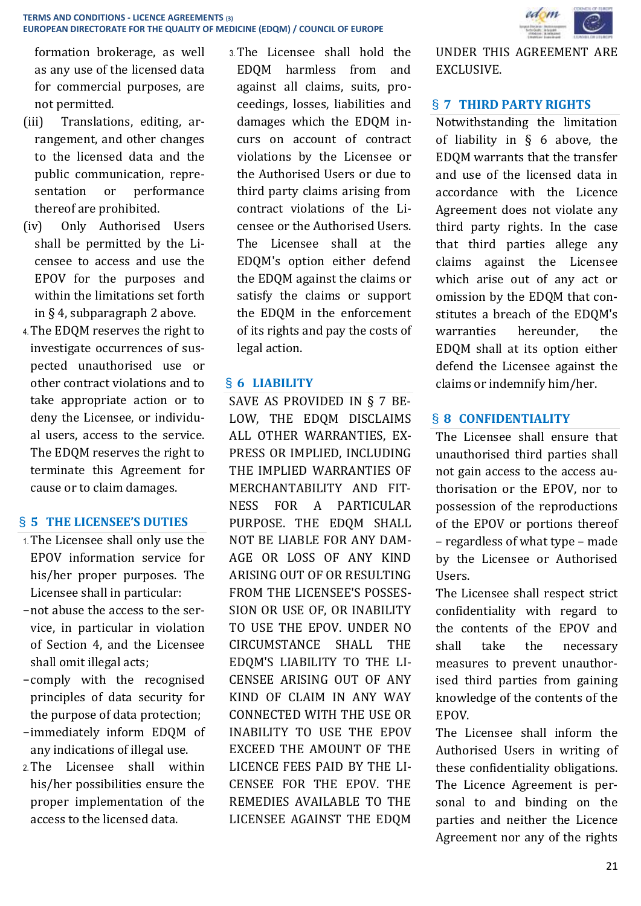formation brokerage, as well as any use of the licensed data for commercial purposes, are not permitted.

- (iii) Translations, editing, arrangement, and other changes to the licensed data and the public communication, representation or performance thereof are prohibited.
- (iv) Only Authorised Users shall be permitted by the Licensee to access and use the EPOV for the purposes and within the limitations set forth in § 4, subparagraph 2 above.
- 4.The EDQM reserves the right to investigate occurrences of suspected unauthorised use or other contract violations and to take appropriate action or to deny the Licensee, or individual users, access to the service. The EDQM reserves the right to terminate this Agreement for cause or to claim damages.

### § **5 THE LICENSEE'S DUTIES**

- 1.The Licensee shall only use the EPOV information service for his/her proper purposes. The Licensee shall in particular:
- −not abuse the access to the service, in particular in violation of Section 4, and the Licensee shall omit illegal acts;
- −comply with the recognised principles of data security for the purpose of data protection;
- −immediately inform EDQM of any indications of illegal use.
- 2.The Licensee shall within his/her possibilities ensure the proper implementation of the access to the licensed data.

3.The Licensee shall hold the EDQM harmless from and against all claims, suits, proceedings, losses, liabilities and damages which the EDQM incurs on account of contract violations by the Licensee or the Authorised Users or due to third party claims arising from contract violations of the Licensee or the Authorised Users. The Licensee shall at the EDQM's option either defend the EDQM against the claims or satisfy the claims or support the EDQM in the enforcement of its rights and pay the costs of legal action.

# § **6 LIABILITY**

SAVE AS PROVIDED IN § 7 BE-LOW, THE EDQM DISCLAIMS ALL OTHER WARRANTIES, EX-PRESS OR IMPLIED, INCLUDING THE IMPLIED WARRANTIES OF MERCHANTABILITY AND FIT-NESS FOR A PARTICULAR PURPOSE. THE EDQM SHALL NOT BE LIABLE FOR ANY DAM-AGE OR LOSS OF ANY KIND ARISING OUT OF OR RESULTING FROM THE LICENSEE'S POSSES-SION OR USE OF, OR INABILITY TO USE THE EPOV. UNDER NO CIRCUMSTANCE SHALL THE EDQM'S LIABILITY TO THE LI-CENSEE ARISING OUT OF ANY KIND OF CLAIM IN ANY WAY CONNECTED WITH THE USE OR INABILITY TO USE THE EPOV EXCEED THE AMOUNT OF THE LICENCE FEES PAID BY THE LI-CENSEE FOR THE EPOV. THE REMEDIES AVAILABLE TO THE LICENSEE AGAINST THE EDQM



UNDER THIS AGREEMENT ARE EXCLUSIVE.

#### § **7 THIRD PARTY RIGHTS**

Notwithstanding the limitation of liability in § 6 above, the EDQM warrants that the transfer and use of the licensed data in accordance with the Licence Agreement does not violate any third party rights. In the case that third parties allege any claims against the Licensee which arise out of any act or omission by the EDQM that constitutes a breach of the EDQM's warranties hereunder, the EDQM shall at its option either defend the Licensee against the claims or indemnify him/her.

### § **8 CONFIDENTIALITY**

The Licensee shall ensure that unauthorised third parties shall not gain access to the access authorisation or the EPOV, nor to possession of the reproductions of the EPOV or portions thereof – regardless of what type – made by the Licensee or Authorised **I**Isers

The Licensee shall respect strict confidentiality with regard to the contents of the EPOV and shall take the necessary measures to prevent unauthorised third parties from gaining knowledge of the contents of the EPOV.

The Licensee shall inform the Authorised Users in writing of these confidentiality obligations. The Licence Agreement is personal to and binding on the parties and neither the Licence Agreement nor any of the rights